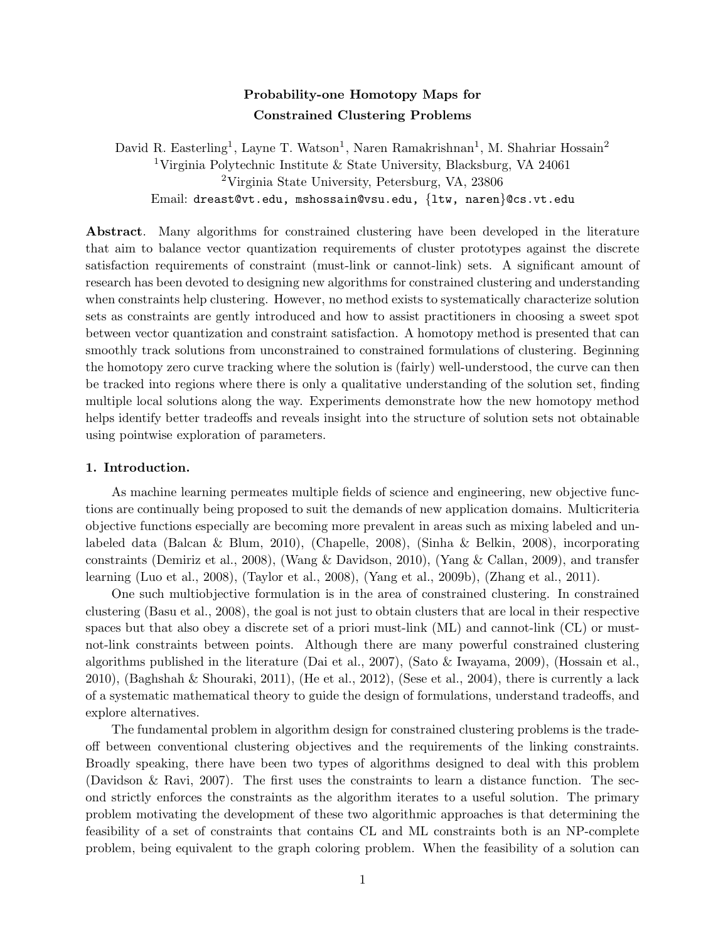# Probability-one Homotopy Maps for Constrained Clustering Problems

David R. Easterling<sup>1</sup>, Layne T. Watson<sup>1</sup>, Naren Ramakrishnan<sup>1</sup>, M. Shahriar Hossain<sup>2</sup> <sup>1</sup>Virginia Polytechnic Institute & State University, Blacksburg, VA 24061 <sup>2</sup>Virginia State University, Petersburg, VA, 23806 Email: dreast@vt.edu, mshossain@vsu.edu, {ltw, naren}@cs.vt.edu

Abstract. Many algorithms for constrained clustering have been developed in the literature that aim to balance vector quantization requirements of cluster prototypes against the discrete satisfaction requirements of constraint (must-link or cannot-link) sets. A significant amount of research has been devoted to designing new algorithms for constrained clustering and understanding when constraints help clustering. However, no method exists to systematically characterize solution sets as constraints are gently introduced and how to assist practitioners in choosing a sweet spot between vector quantization and constraint satisfaction. A homotopy method is presented that can smoothly track solutions from unconstrained to constrained formulations of clustering. Beginning the homotopy zero curve tracking where the solution is (fairly) well-understood, the curve can then be tracked into regions where there is only a qualitative understanding of the solution set, finding multiple local solutions along the way. Experiments demonstrate how the new homotopy method helps identify better tradeoffs and reveals insight into the structure of solution sets not obtainable using pointwise exploration of parameters.

## 1. Introduction.

As machine learning permeates multiple fields of science and engineering, new objective functions are continually being proposed to suit the demands of new application domains. Multicriteria objective functions especially are becoming more prevalent in areas such as mixing labeled and unlabeled data (Balcan & Blum, 2010), (Chapelle, 2008), (Sinha & Belkin, 2008), incorporating constraints (Demiriz et al., 2008), (Wang & Davidson, 2010), (Yang & Callan, 2009), and transfer learning (Luo et al., 2008), (Taylor et al., 2008), (Yang et al., 2009b), (Zhang et al., 2011).

One such multiobjective formulation is in the area of constrained clustering. In constrained clustering (Basu et al., 2008), the goal is not just to obtain clusters that are local in their respective spaces but that also obey a discrete set of a priori must-link (ML) and cannot-link (CL) or mustnot-link constraints between points. Although there are many powerful constrained clustering algorithms published in the literature (Dai et al., 2007), (Sato & Iwayama, 2009), (Hossain et al., 2010), (Baghshah & Shouraki, 2011), (He et al., 2012), (Sese et al., 2004), there is currently a lack of a systematic mathematical theory to guide the design of formulations, understand tradeoffs, and explore alternatives.

The fundamental problem in algorithm design for constrained clustering problems is the tradeoff between conventional clustering objectives and the requirements of the linking constraints. Broadly speaking, there have been two types of algorithms designed to deal with this problem (Davidson & Ravi, 2007). The first uses the constraints to learn a distance function. The second strictly enforces the constraints as the algorithm iterates to a useful solution. The primary problem motivating the development of these two algorithmic approaches is that determining the feasibility of a set of constraints that contains CL and ML constraints both is an NP-complete problem, being equivalent to the graph coloring problem. When the feasibility of a solution can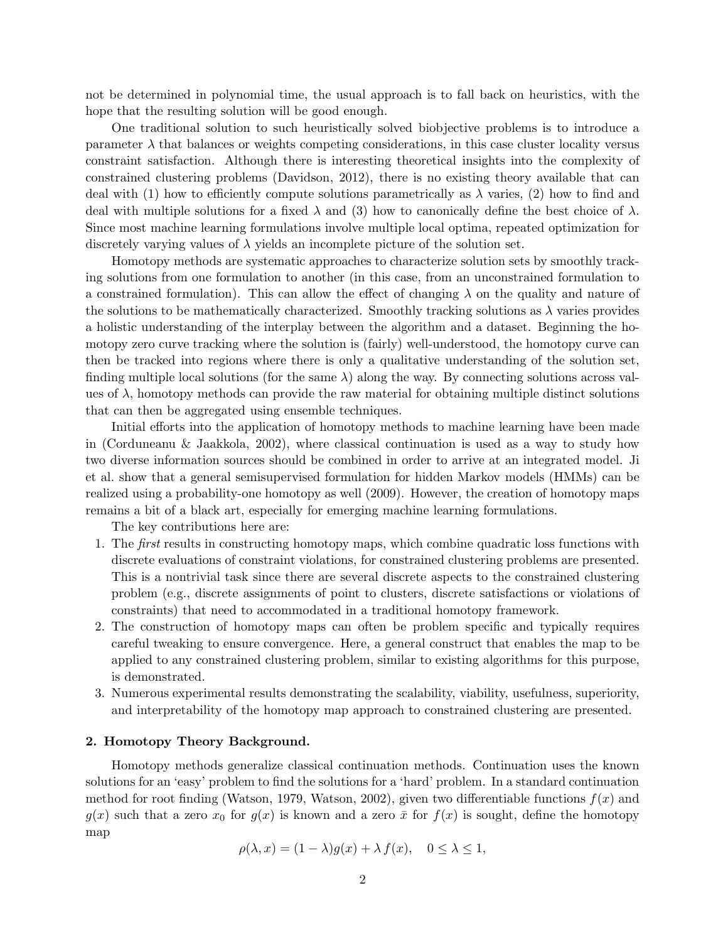not be determined in polynomial time, the usual approach is to fall back on heuristics, with the hope that the resulting solution will be good enough.

One traditional solution to such heuristically solved biobjective problems is to introduce a parameter  $\lambda$  that balances or weights competing considerations, in this case cluster locality versus constraint satisfaction. Although there is interesting theoretical insights into the complexity of constrained clustering problems (Davidson, 2012), there is no existing theory available that can deal with (1) how to efficiently compute solutions parametrically as  $\lambda$  varies, (2) how to find and deal with multiple solutions for a fixed  $\lambda$  and (3) how to canonically define the best choice of  $\lambda$ . Since most machine learning formulations involve multiple local optima, repeated optimization for discretely varying values of  $\lambda$  yields an incomplete picture of the solution set.

Homotopy methods are systematic approaches to characterize solution sets by smoothly tracking solutions from one formulation to another (in this case, from an unconstrained formulation to a constrained formulation). This can allow the effect of changing  $\lambda$  on the quality and nature of the solutions to be mathematically characterized. Smoothly tracking solutions as  $\lambda$  varies provides a holistic understanding of the interplay between the algorithm and a dataset. Beginning the homotopy zero curve tracking where the solution is (fairly) well-understood, the homotopy curve can then be tracked into regions where there is only a qualitative understanding of the solution set, finding multiple local solutions (for the same  $\lambda$ ) along the way. By connecting solutions across values of  $\lambda$ , homotopy methods can provide the raw material for obtaining multiple distinct solutions that can then be aggregated using ensemble techniques.

Initial efforts into the application of homotopy methods to machine learning have been made in (Corduneanu & Jaakkola, 2002), where classical continuation is used as a way to study how two diverse information sources should be combined in order to arrive at an integrated model. Ji et al. show that a general semisupervised formulation for hidden Markov models (HMMs) can be realized using a probability-one homotopy as well (2009). However, the creation of homotopy maps remains a bit of a black art, especially for emerging machine learning formulations.

The key contributions here are:

- 1. The first results in constructing homotopy maps, which combine quadratic loss functions with discrete evaluations of constraint violations, for constrained clustering problems are presented. This is a nontrivial task since there are several discrete aspects to the constrained clustering problem (e.g., discrete assignments of point to clusters, discrete satisfactions or violations of constraints) that need to accommodated in a traditional homotopy framework.
- 2. The construction of homotopy maps can often be problem specific and typically requires careful tweaking to ensure convergence. Here, a general construct that enables the map to be applied to any constrained clustering problem, similar to existing algorithms for this purpose, is demonstrated.
- 3. Numerous experimental results demonstrating the scalability, viability, usefulness, superiority, and interpretability of the homotopy map approach to constrained clustering are presented.

#### 2. Homotopy Theory Background.

Homotopy methods generalize classical continuation methods. Continuation uses the known solutions for an 'easy' problem to find the solutions for a 'hard' problem. In a standard continuation method for root finding (Watson, 1979, Watson, 2002), given two differentiable functions  $f(x)$  and  $g(x)$  such that a zero  $x_0$  for  $g(x)$  is known and a zero  $\bar{x}$  for  $f(x)$  is sought, define the homotopy map

$$
\rho(\lambda, x) = (1 - \lambda)g(x) + \lambda f(x), \quad 0 \le \lambda \le 1,
$$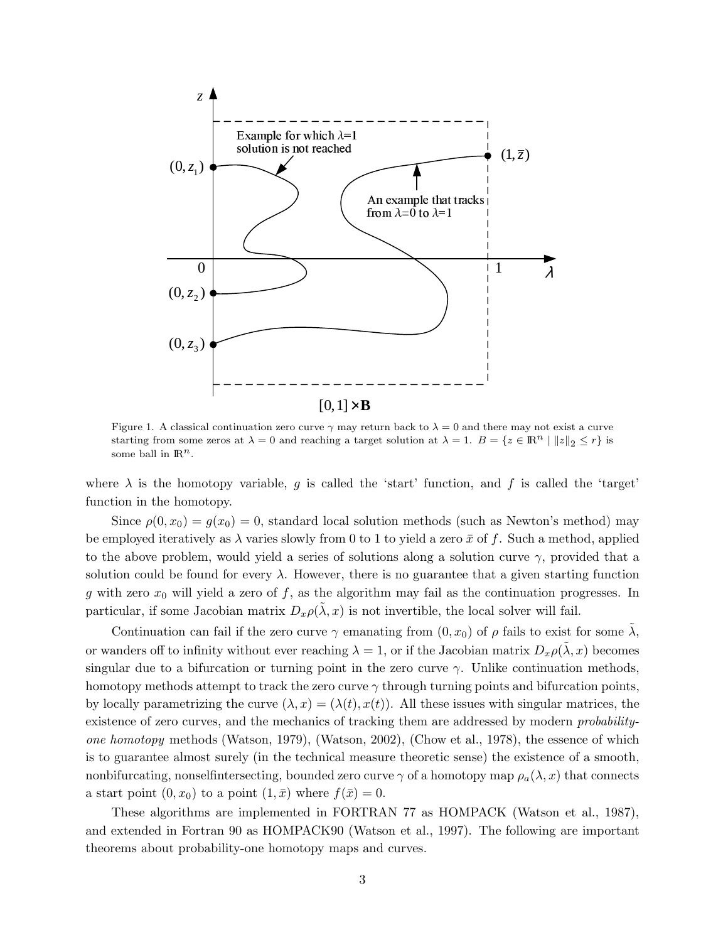

Figure 1. A classical continuation zero curve  $\gamma$  may return back to  $\lambda = 0$  and there may not exist a curve starting from some zeros at  $\lambda = 0$  and reaching a target solution at  $\lambda = 1$ .  $B = \{z \in \mathbb{R}^n \mid ||z||_2 \leq r\}$  is some ball in  $\mathbb{R}^n$ .

where  $\lambda$  is the homotopy variable, g is called the 'start' function, and f is called the 'target' function in the homotopy.

Since  $\rho(0, x_0) = g(x_0) = 0$ , standard local solution methods (such as Newton's method) may be employed iteratively as  $\lambda$  varies slowly from 0 to 1 to yield a zero  $\bar{x}$  of f. Such a method, applied to the above problem, would yield a series of solutions along a solution curve  $\gamma$ , provided that a solution could be found for every  $\lambda$ . However, there is no guarantee that a given starting function g with zero  $x_0$  will yield a zero of f, as the algorithm may fail as the continuation progresses. In particular, if some Jacobian matrix  $D_x \rho(\tilde{\lambda}, x)$  is not invertible, the local solver will fail.

Continuation can fail if the zero curve  $\gamma$  emanating from  $(0, x_0)$  of  $\rho$  fails to exist for some  $\lambda$ , or wanders off to infinity without ever reaching  $\lambda = 1$ , or if the Jacobian matrix  $D_x \rho(\lambda, x)$  becomes singular due to a bifurcation or turning point in the zero curve  $\gamma$ . Unlike continuation methods, homotopy methods attempt to track the zero curve  $\gamma$  through turning points and bifurcation points, by locally parametrizing the curve  $(\lambda, x) = (\lambda(t), x(t))$ . All these issues with singular matrices, the existence of zero curves, and the mechanics of tracking them are addressed by modern probabilityone homotopy methods (Watson, 1979), (Watson, 2002), (Chow et al., 1978), the essence of which is to guarantee almost surely (in the technical measure theoretic sense) the existence of a smooth, nonbifurcating, nonselfintersecting, bounded zero curve  $\gamma$  of a homotopy map  $\rho_a(\lambda, x)$  that connects a start point  $(0, x_0)$  to a point  $(1, \bar{x})$  where  $f(\bar{x}) = 0$ .

These algorithms are implemented in FORTRAN 77 as HOMPACK (Watson et al., 1987), and extended in Fortran 90 as HOMPACK90 (Watson et al., 1997). The following are important theorems about probability-one homotopy maps and curves.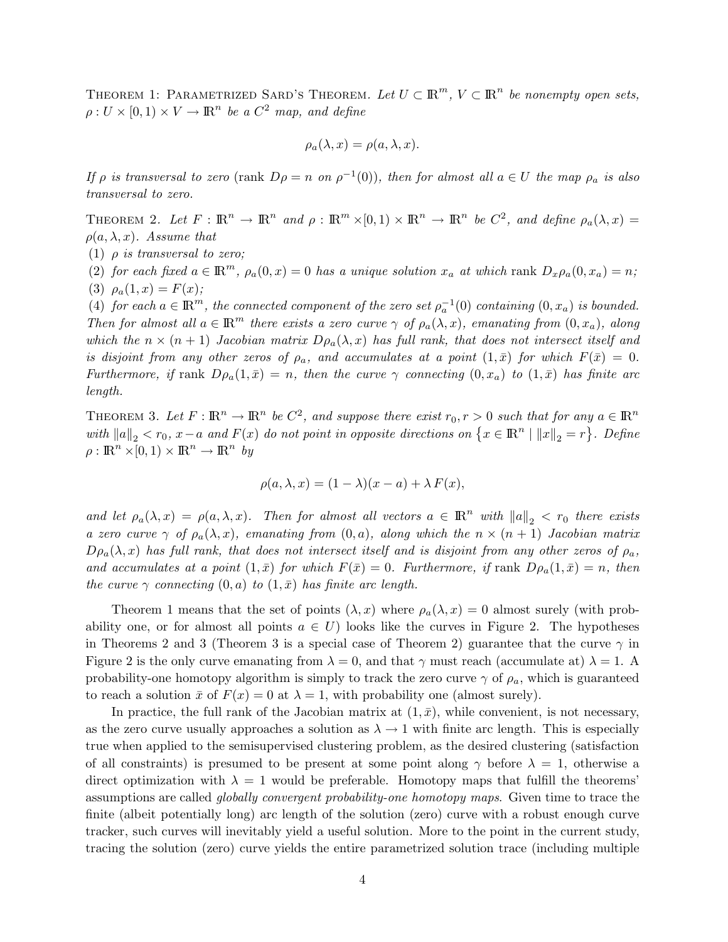THEOREM 1: PARAMETRIZED SARD'S THEOREM. Let  $U \subset \mathbb{R}^m$ ,  $V \subset \mathbb{R}^n$  be nonempty open sets,  $\rho: U \times [0,1) \times V \to \mathbb{R}^n$  be a  $C^2$  map, and define

$$
\rho_a(\lambda, x) = \rho(a, \lambda, x).
$$

If  $\rho$  is transversal to zero (rank  $D\rho = n$  on  $\rho^{-1}(0)$ ), then for almost all  $a \in U$  the map  $\rho_a$  is also transversal to zero.

THEOREM 2. Let  $F: \mathbb{R}^n \to \mathbb{R}^n$  and  $\rho: \mathbb{R}^m \times [0,1) \times \mathbb{R}^n \to \mathbb{R}^n$  be  $C^2$ , and define  $\rho_a(\lambda,x) =$  $\rho(a, \lambda, x)$ . Assume that

(1)  $\rho$  is transversal to zero;

(2) for each fixed  $a \in \mathbb{R}^m$ ,  $\rho_a(0, x) = 0$  has a unique solution  $x_a$  at which rank  $D_x \rho_a(0, x_a) = n$ ; (3)  $\rho_a(1, x) = F(x);$ 

(4) for each  $a \in \mathbb{R}^m$ , the connected component of the zero set  $\rho_a^{-1}(0)$  containing  $(0, x_a)$  is bounded. Then for almost all  $a \in \mathbb{R}^m$  there exists a zero curve  $\gamma$  of  $\rho_a(\lambda, x)$ , emanating from  $(0, x_a)$ , along which the  $n \times (n+1)$  Jacobian matrix  $D\rho_a(\lambda, x)$  has full rank, that does not intersect itself and is disjoint from any other zeros of  $\rho_a$ , and accumulates at a point  $(1,\bar{x})$  for which  $F(\bar{x}) = 0$ . Furthermore, if rank  $D\rho_a(1,\bar{x}) = n$ , then the curve  $\gamma$  connecting  $(0, x_a)$  to  $(1,\bar{x})$  has finite arc length.

THEOREM 3. Let  $F: \mathbb{R}^n \to \mathbb{R}^n$  be  $C^2$ , and suppose there exist  $r_0, r > 0$  such that for any  $a \in \mathbb{R}^n$ with  $||a||_2 < r_0$ ,  $x-a$  and  $F(x)$  do not point in opposite directions on  $\{x \in \mathbb{R}^n \mid ||x||_2 = r\}$ . Define  $\rho : \mathbb{R}^n \times [0,1) \times \mathbb{R}^n \to \mathbb{R}^n$  by

$$
\rho(a,\lambda,x) = (1-\lambda)(x-a) + \lambda F(x),
$$

and let  $\rho_a(\lambda, x) = \rho(a, \lambda, x)$ . Then for almost all vectors  $a \in \mathbb{R}^n$  with  $||a||_2 < r_0$  there exists a zero curve  $\gamma$  of  $\rho_a(\lambda, x)$ , emanating from  $(0, a)$ , along which the  $n \times (n + 1)$  Jacobian matrix  $D\rho_a(\lambda, x)$  has full rank, that does not intersect itself and is disjoint from any other zeros of  $\rho_a$ , and accumulates at a point  $(1,\bar{x})$  for which  $F(\bar{x}) = 0$ . Furthermore, if rank  $D\rho_a(1,\bar{x}) = n$ , then the curve  $\gamma$  connecting  $(0, a)$  to  $(1, \bar{x})$  has finite arc length.

Theorem 1 means that the set of points  $(\lambda, x)$  where  $\rho_a(\lambda, x) = 0$  almost surely (with probability one, or for almost all points  $a \in U$ ) looks like the curves in Figure 2. The hypotheses in Theorems 2 and 3 (Theorem 3 is a special case of Theorem 2) guarantee that the curve  $\gamma$  in Figure 2 is the only curve emanating from  $\lambda = 0$ , and that  $\gamma$  must reach (accumulate at)  $\lambda = 1$ . A probability-one homotopy algorithm is simply to track the zero curve  $\gamma$  of  $\rho_a$ , which is guaranteed to reach a solution  $\bar{x}$  of  $F(x) = 0$  at  $\lambda = 1$ , with probability one (almost surely).

In practice, the full rank of the Jacobian matrix at  $(1, \bar{x})$ , while convenient, is not necessary, as the zero curve usually approaches a solution as  $\lambda \to 1$  with finite arc length. This is especially true when applied to the semisupervised clustering problem, as the desired clustering (satisfaction of all constraints) is presumed to be present at some point along  $\gamma$  before  $\lambda = 1$ , otherwise a direct optimization with  $\lambda = 1$  would be preferable. Homotopy maps that fulfill the theorems' assumptions are called globally convergent probability-one homotopy maps. Given time to trace the finite (albeit potentially long) arc length of the solution (zero) curve with a robust enough curve tracker, such curves will inevitably yield a useful solution. More to the point in the current study, tracing the solution (zero) curve yields the entire parametrized solution trace (including multiple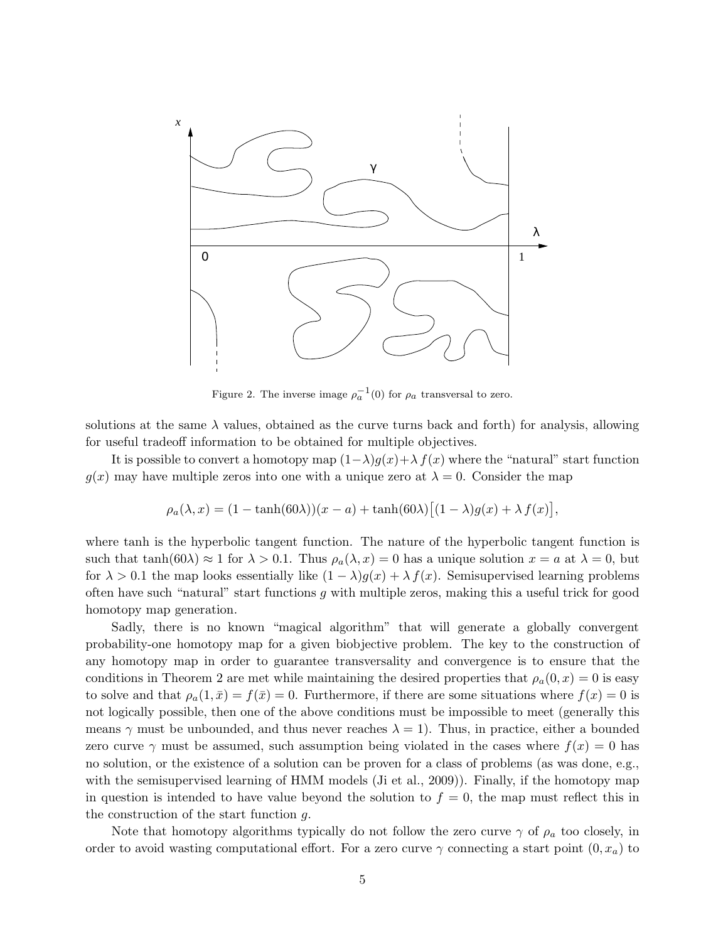

Figure 2. The inverse image  $\rho_a^{-1}(0)$  for  $\rho_a$  transversal to zero.

solutions at the same  $\lambda$  values, obtained as the curve turns back and forth) for analysis, allowing for useful tradeoff information to be obtained for multiple objectives.

It is possible to convert a homotopy map  $(1-\lambda)g(x)+\lambda f(x)$  where the "natural" start function  $g(x)$  may have multiple zeros into one with a unique zero at  $\lambda = 0$ . Consider the map

$$
\rho_a(\lambda, x) = (1 - \tanh(60\lambda))(x - a) + \tanh(60\lambda)[(1 - \lambda)g(x) + \lambda f(x)],
$$

where tanh is the hyperbolic tangent function. The nature of the hyperbolic tangent function is such that tanh(60 $\lambda$ )  $\approx$  1 for  $\lambda$  > 0.1. Thus  $\rho_a(\lambda, x) = 0$  has a unique solution  $x = a$  at  $\lambda = 0$ , but for  $\lambda > 0.1$  the map looks essentially like  $(1 - \lambda)q(x) + \lambda f(x)$ . Semisupervised learning problems often have such "natural" start functions  $q$  with multiple zeros, making this a useful trick for good homotopy map generation.

Sadly, there is no known "magical algorithm" that will generate a globally convergent probability-one homotopy map for a given biobjective problem. The key to the construction of any homotopy map in order to guarantee transversality and convergence is to ensure that the conditions in Theorem 2 are met while maintaining the desired properties that  $\rho_a(0, x) = 0$  is easy to solve and that  $\rho_a(1,\bar{x}) = f(\bar{x}) = 0$ . Furthermore, if there are some situations where  $f(x) = 0$  is not logically possible, then one of the above conditions must be impossible to meet (generally this means  $\gamma$  must be unbounded, and thus never reaches  $\lambda = 1$ ). Thus, in practice, either a bounded zero curve  $\gamma$  must be assumed, such assumption being violated in the cases where  $f(x) = 0$  has no solution, or the existence of a solution can be proven for a class of problems (as was done, e.g., with the semisupervised learning of HMM models (Ji et al., 2009)). Finally, if the homotopy map in question is intended to have value beyond the solution to  $f = 0$ , the map must reflect this in the construction of the start function g.

Note that homotopy algorithms typically do not follow the zero curve  $\gamma$  of  $\rho_a$  too closely, in order to avoid wasting computational effort. For a zero curve  $\gamma$  connecting a start point  $(0, x_a)$  to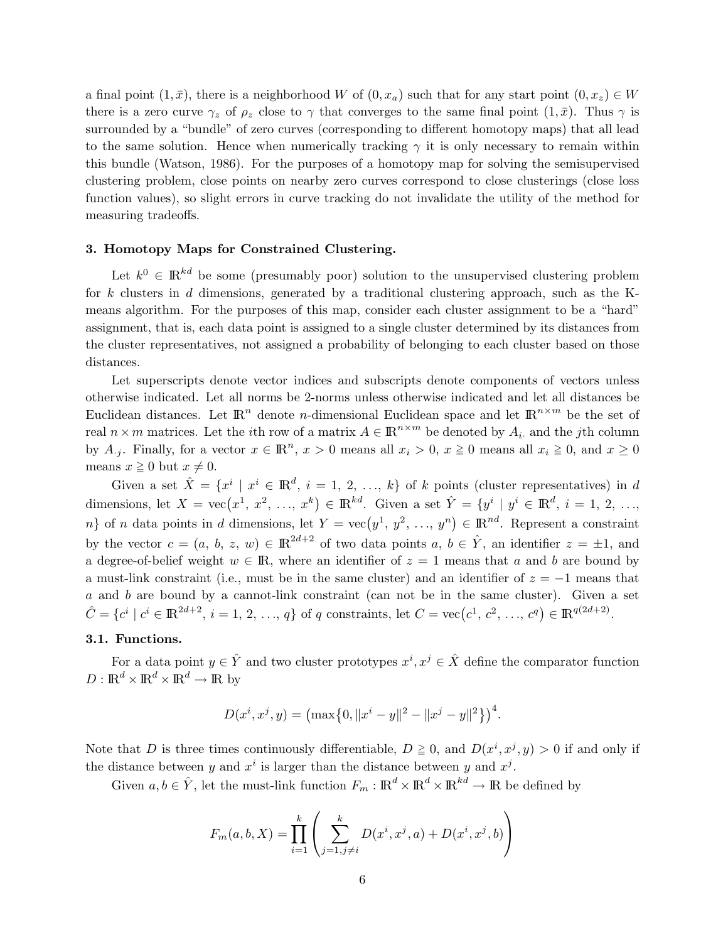a final point  $(1, \bar{x})$ , there is a neighborhood W of  $(0, x_a)$  such that for any start point  $(0, x_z) \in W$ there is a zero curve  $\gamma_z$  of  $\rho_z$  close to  $\gamma$  that converges to the same final point  $(1,\bar{x})$ . Thus  $\gamma$  is surrounded by a "bundle" of zero curves (corresponding to different homotopy maps) that all lead to the same solution. Hence when numerically tracking  $\gamma$  it is only necessary to remain within this bundle (Watson, 1986). For the purposes of a homotopy map for solving the semisupervised clustering problem, close points on nearby zero curves correspond to close clusterings (close loss function values), so slight errors in curve tracking do not invalidate the utility of the method for measuring tradeoffs.

# 3. Homotopy Maps for Constrained Clustering.

Let  $k^0 \in \mathbb{R}^{kd}$  be some (presumably poor) solution to the unsupervised clustering problem for k clusters in d dimensions, generated by a traditional clustering approach, such as the Kmeans algorithm. For the purposes of this map, consider each cluster assignment to be a "hard" assignment, that is, each data point is assigned to a single cluster determined by its distances from the cluster representatives, not assigned a probability of belonging to each cluster based on those distances.

Let superscripts denote vector indices and subscripts denote components of vectors unless otherwise indicated. Let all norms be 2-norms unless otherwise indicated and let all distances be Euclidean distances. Let  $\mathbb{R}^n$  denote *n*-dimensional Euclidean space and let  $\mathbb{R}^{n \times m}$  be the set of real  $n \times m$  matrices. Let the *i*th row of a matrix  $A \in \mathbb{R}^{n \times m}$  be denoted by  $A_i$  and the *j*th column by  $A_{.j}$ . Finally, for a vector  $x \in \mathbb{R}^n$ ,  $x > 0$  means all  $x_i > 0$ ,  $x \ge 0$  means all  $x_i \ge 0$ , and  $x \ge 0$ means  $x \geq 0$  but  $x \neq 0$ .

Given a set  $\hat{X} = \{x^i \mid x^i \in \mathbb{R}^d, i = 1, 2, ..., k\}$  of k points (cluster representatives) in d dimensions, let  $X = \text{vec}(x^1, x^2, \ldots, x^k) \in \mathbb{R}^{kd}$ . Given a set  $\hat{Y} = \{y^i \mid y^i \in \mathbb{R}^d, i = 1, 2, \ldots,$ n} of n data points in d dimensions, let  $Y = \text{vec}(y^1, y^2, ..., y^n) \in \mathbb{R}^{nd}$ . Represent a constraint by the vector  $c = (a, b, z, w) \in \mathbb{R}^{2d+2}$  of two data points  $a, b \in \hat{Y}$ , an identifier  $z = \pm 1$ , and a degree-of-belief weight  $w \in \mathbb{R}$ , where an identifier of  $z = 1$  means that a and b are bound by a must-link constraint (i.e., must be in the same cluster) and an identifier of  $z = -1$  means that  $a$  and  $b$  are bound by a cannot-link constraint (can not be in the same cluster). Given a set  $\hat{C} = \{c^i \mid c^i \in \mathbb{R}^{2d+2}, i = 1, 2, ..., q\}$  of q constraints, let  $C = \text{vec}(c^1, c^2, ..., c^q) \in \mathbb{R}^{q(2d+2)}$ .

## 3.1. Functions.

For a data point  $y \in \hat{Y}$  and two cluster prototypes  $x^i, x^j \in \hat{X}$  define the comparator function  $D: \mathbb{R}^d \times \mathbb{R}^d \times \mathbb{R}^d \to \mathbb{R}$  by

$$
D(x^{i}, x^{j}, y) = \left(\max\{0, \|x^{i} - y\|^{2} - \|x^{j} - y\|^{2}\}\right)^{4}.
$$

Note that D is three times continuously differentiable,  $D \geq 0$ , and  $D(x^i, x^j, y) > 0$  if and only if the distance between y and  $x^i$  is larger than the distance between y and  $x^j$ .

Given  $a, b \in \hat{Y}$ , let the must-link function  $F_m : \mathbb{R}^d \times \mathbb{R}^d \times \mathbb{R}^{kd} \to \mathbb{R}$  be defined by

$$
F_m(a, b, X) = \prod_{i=1}^k \left( \sum_{j=1, j \neq i}^k D(x^i, x^j, a) + D(x^i, x^j, b) \right)
$$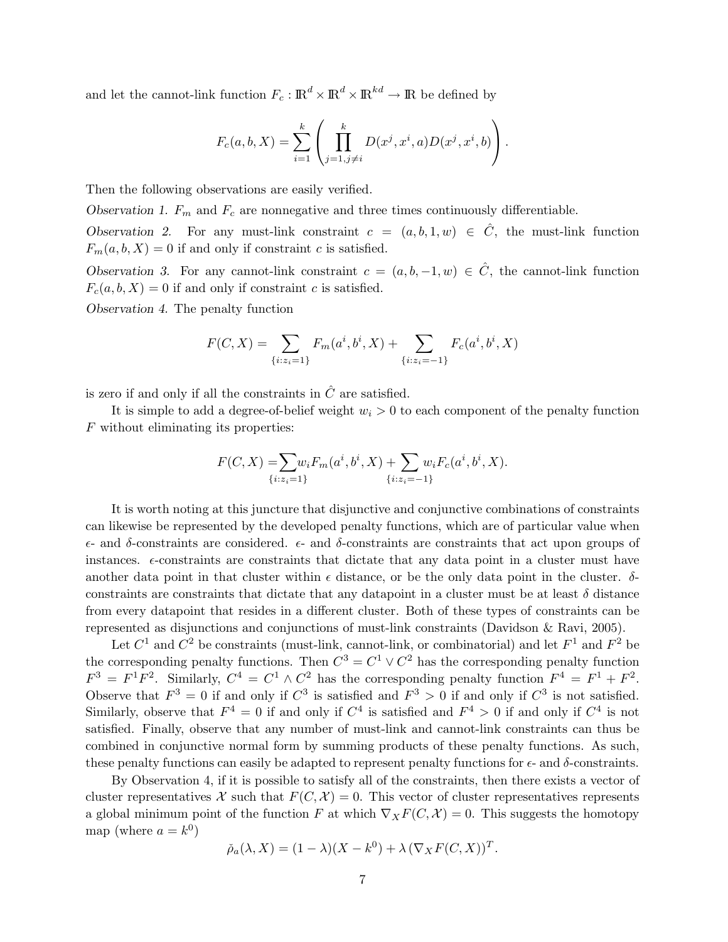and let the cannot-link function  $F_c: \mathbb{R}^d \times \mathbb{R}^d \times \mathbb{R}^{kd} \to \mathbb{R}$  be defined by

$$
F_c(a, b, X) = \sum_{i=1}^k \left( \prod_{j=1, j \neq i}^k D(x^j, x^i, a) D(x^j, x^i, b) \right).
$$

Then the following observations are easily verified.

Observation 1.  $F_m$  and  $F_c$  are nonnegative and three times continuously differentiable.

Observation 2. For any must-link constraint  $c = (a, b, 1, w) \in \hat{C}$ , the must-link function  $F_m(a, b, X) = 0$  if and only if constraint c is satisfied.

Observation 3. For any cannot-link constraint  $c = (a, b, -1, w) \in \hat{C}$ , the cannot-link function  $F_c(a, b, X) = 0$  if and only if constraint c is satisfied.

Observation 4. The penalty function

$$
F(C, X) = \sum_{\{i: z_i = 1\}} F_m(a^i, b^i, X) + \sum_{\{i: z_i = -1\}} F_c(a^i, b^i, X)
$$

is zero if and only if all the constraints in  $\hat{C}$  are satisfied.

It is simple to add a degree-of-belief weight  $w_i > 0$  to each component of the penalty function F without eliminating its properties:

$$
F(C, X) = \sum_{\{i: z_i = 1\}} w_i F_m(a^i, b^i, X) + \sum_{\{i: z_i = -1\}} w_i F_c(a^i, b^i, X).
$$

It is worth noting at this juncture that disjunctive and conjunctive combinations of constraints can likewise be represented by the developed penalty functions, which are of particular value when  $\epsilon$ - and  $\delta$ -constraints are considered.  $\epsilon$ - and  $\delta$ -constraints are constraints that act upon groups of instances.  $\epsilon$ -constraints are constraints that dictate that any data point in a cluster must have another data point in that cluster within  $\epsilon$  distance, or be the only data point in the cluster.  $\delta$ constraints are constraints that dictate that any datapoint in a cluster must be at least  $\delta$  distance from every datapoint that resides in a different cluster. Both of these types of constraints can be represented as disjunctions and conjunctions of must-link constraints (Davidson & Ravi, 2005).

Let  $C^1$  and  $C^2$  be constraints (must-link, cannot-link, or combinatorial) and let  $F^1$  and  $F^2$  be the corresponding penalty functions. Then  $C^3 = C^1 \vee C^2$  has the corresponding penalty function  $F^3 = F^1 F^2$ . Similarly,  $C^4 = C^1 \wedge C^2$  has the corresponding penalty function  $F^4 = F^1 + F^2$ . Observe that  $F^3 = 0$  if and only if  $C^3$  is satisfied and  $F^3 > 0$  if and only if  $C^3$  is not satisfied. Similarly, observe that  $F^4 = 0$  if and only if  $C^4$  is satisfied and  $F^4 > 0$  if and only if  $C^4$  is not satisfied. Finally, observe that any number of must-link and cannot-link constraints can thus be combined in conjunctive normal form by summing products of these penalty functions. As such, these penalty functions can easily be adapted to represent penalty functions for  $\epsilon$ - and  $\delta$ -constraints.

By Observation 4, if it is possible to satisfy all of the constraints, then there exists a vector of cluster representatives X such that  $F(C, X) = 0$ . This vector of cluster representatives represents a global minimum point of the function F at which  $\nabla_X F(C, \mathcal{X}) = 0$ . This suggests the homotopy map (where  $a = k^0$ )

$$
\check{\rho}_a(\lambda, X) = (1 - \lambda)(X - k^0) + \lambda (\nabla_X F(C, X))^T.
$$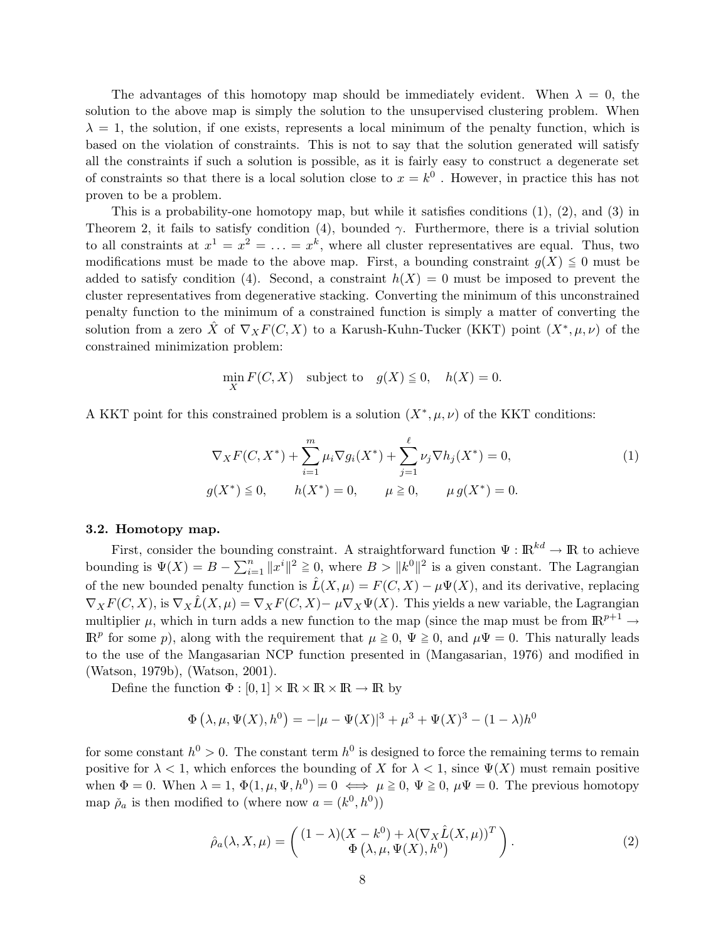The advantages of this homotopy map should be immediately evident. When  $\lambda = 0$ , the solution to the above map is simply the solution to the unsupervised clustering problem. When  $\lambda = 1$ , the solution, if one exists, represents a local minimum of the penalty function, which is based on the violation of constraints. This is not to say that the solution generated will satisfy all the constraints if such a solution is possible, as it is fairly easy to construct a degenerate set of constraints so that there is a local solution close to  $x = k^0$ . However, in practice this has not proven to be a problem.

This is a probability-one homotopy map, but while it satisfies conditions (1), (2), and (3) in Theorem 2, it fails to satisfy condition (4), bounded  $\gamma$ . Furthermore, there is a trivial solution to all constraints at  $x^1 = x^2 = \ldots = x^k$ , where all cluster representatives are equal. Thus, two modifications must be made to the above map. First, a bounding constraint  $g(X) \leq 0$  must be added to satisfy condition (4). Second, a constraint  $h(X) = 0$  must be imposed to prevent the cluster representatives from degenerative stacking. Converting the minimum of this unconstrained penalty function to the minimum of a constrained function is simply a matter of converting the solution from a zero  $\hat{X}$  of  $\nabla_X F(C, X)$  to a Karush-Kuhn-Tucker (KKT) point  $(X^*, \mu, \nu)$  of the constrained minimization problem:

$$
\min_{X} F(C, X) \quad \text{subject to} \quad g(X) \le 0, \quad h(X) = 0.
$$

A KKT point for this constrained problem is a solution  $(X^*, \mu, \nu)$  of the KKT conditions:

$$
\nabla_X F(C, X^*) + \sum_{i=1}^m \mu_i \nabla g_i(X^*) + \sum_{j=1}^\ell \nu_j \nabla h_j(X^*) = 0,
$$
  
\n
$$
g(X^*) \le 0, \qquad h(X^*) = 0, \qquad \mu \ge 0, \qquad \mu g(X^*) = 0.
$$
\n(1)

#### 3.2. Homotopy map.

First, consider the bounding constraint. A straightforward function  $\Psi : \mathbb{R}^{kd} \to \mathbb{R}$  to achieve bounding is  $\Psi(X) = B - \sum_{i=1}^{n} ||x^i||^2 \ge 0$ , where  $B > ||k^0||^2$  is a given constant. The Lagrangian of the new bounded penalty function is  $\hat{L}(X,\mu) = F(C,X) - \mu \Psi(X)$ , and its derivative, replacing  $\nabla_X F(C, X)$ , is  $\nabla_X \hat{L}(X, \mu) = \nabla_X F(C, X) - \mu \nabla_X \Psi(X)$ . This yields a new variable, the Lagrangian multiplier  $\mu$ , which in turn adds a new function to the map (since the map must be from  $\mathbb{R}^{p+1} \to$  $\mathbb{R}^p$  for some p), along with the requirement that  $\mu \geq 0$ ,  $\Psi \geq 0$ , and  $\mu \Psi = 0$ . This naturally leads to the use of the Mangasarian NCP function presented in (Mangasarian, 1976) and modified in (Watson, 1979b), (Watson, 2001).

Define the function  $\Phi : [0,1] \times \mathbb{R} \times \mathbb{R} \times \mathbb{R} \to \mathbb{R}$  by

$$
\Phi(\lambda, \mu, \Psi(X), h^0) = -|\mu - \Psi(X)|^3 + \mu^3 + \Psi(X)^3 - (1 - \lambda)h^0
$$

for some constant  $h^0 > 0$ . The constant term  $h^0$  is designed to force the remaining terms to remain positive for  $\lambda < 1$ , which enforces the bounding of X for  $\lambda < 1$ , since  $\Psi(X)$  must remain positive when  $\Phi = 0$ . When  $\lambda = 1$ ,  $\Phi(1, \mu, \Psi, h^0) = 0 \iff \mu \geq 0$ ,  $\Psi \geq 0$ ,  $\mu \Psi = 0$ . The previous homotopy map  $\check{\rho}_a$  is then modified to (where now  $a = (k^0, h^0)$ )

$$
\hat{\rho}_a(\lambda, X, \mu) = \begin{pmatrix} (1 - \lambda)(X - k^0) + \lambda(\nabla_X \hat{L}(X, \mu))^T \\ \Phi(\lambda, \mu, \Psi(X), h^0) \end{pmatrix}.
$$
 (2)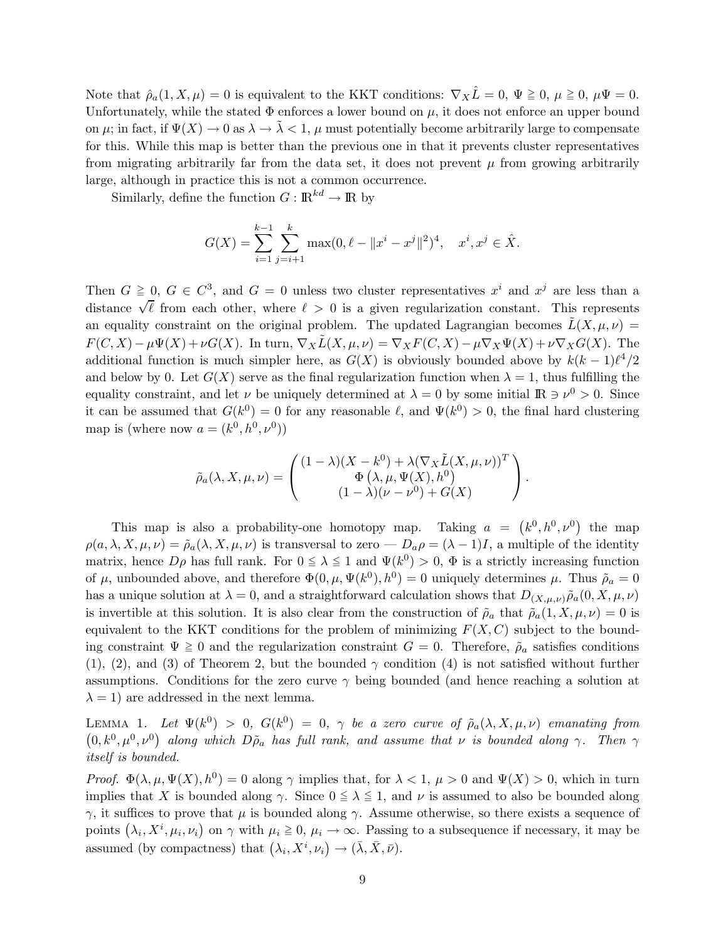Note that  $\hat{\rho}_a(1, X, \mu) = 0$  is equivalent to the KKT conditions:  $\nabla_X \hat{L} = 0$ ,  $\Psi \geq 0$ ,  $\mu \Psi = 0$ . Unfortunately, while the stated  $\Phi$  enforces a lower bound on  $\mu$ , it does not enforce an upper bound on  $\mu$ ; in fact, if  $\Psi(X) \to 0$  as  $\lambda \to \lambda < 1$ ,  $\mu$  must potentially become arbitrarily large to compensate for this. While this map is better than the previous one in that it prevents cluster representatives from migrating arbitrarily far from the data set, it does not prevent  $\mu$  from growing arbitrarily large, although in practice this is not a common occurrence.

Similarly, define the function  $G : \mathbb{R}^{kd} \to \mathbb{R}$  by

$$
G(X) = \sum_{i=1}^{k-1} \sum_{j=i+1}^{k} \max(0, \ell - ||x^{i} - x^{j}||^{2})^{4}, \quad x^{i}, x^{j} \in \hat{X}.
$$

Then  $G \geq 0$ ,  $G \in C^3$ , and  $G = 0$  unless two cluster representatives  $x^i$  and  $x^j$  are less than a distance  $\sqrt{\ell}$  from each other, where  $\ell > 0$  is a given regularization constant. This represents an equality constraint on the original problem. The updated Lagrangian becomes  $\tilde{L}(X, \mu, \nu)$  $F(C, X) - \mu \Psi(X) + \nu G(X)$ . In turn,  $\nabla_X \tilde{L}(X, \mu, \nu) = \nabla_X F(C, X) - \mu \nabla_X \Psi(X) + \nu \nabla_X G(X)$ . The additional function is much simpler here, as  $G(X)$  is obviously bounded above by  $k(k-1)\ell^4/2$ and below by 0. Let  $G(X)$  serve as the final regularization function when  $\lambda = 1$ , thus fulfilling the equality constraint, and let  $\nu$  be uniquely determined at  $\lambda = 0$  by some initial  $\mathbb{R} \ni \nu^0 > 0$ . Since it can be assumed that  $G(k^0) = 0$  for any reasonable  $\ell$ , and  $\Psi(k^0) > 0$ , the final hard clustering map is (where now  $a = (k^0, h^0, \nu^0)$ )

$$
\tilde{\rho}_a(\lambda, X, \mu, \nu) = \begin{pmatrix} (1 - \lambda)(X - k^0) + \lambda(\nabla_X \tilde{L}(X, \mu, \nu))^T \\ \Phi(\lambda, \mu, \Psi(X), h^0) \\ (1 - \lambda)(\nu - \nu^0) + G(X) \end{pmatrix}.
$$

This map is also a probability-one homotopy map. Taking  $a = (k^0, h^0, \nu^0)$  the map  $\rho(a, \lambda, X, \mu, \nu) = \tilde{\rho}_a(\lambda, X, \mu, \nu)$  is transversal to zero —  $D_a \rho = (\lambda - 1)I$ , a multiple of the identity matrix, hence  $D\rho$  has full rank. For  $0 \le \lambda \le 1$  and  $\Psi(k^0) > 0$ ,  $\Phi$  is a strictly increasing function of  $\mu$ , unbounded above, and therefore  $\Phi(0, \mu, \Psi(k^0), h^0) = 0$  uniquely determines  $\mu$ . Thus  $\tilde{\rho}_a = 0$ has a unique solution at  $\lambda = 0$ , and a straightforward calculation shows that  $D_{(X,\mu,\nu)}\tilde{\rho}_a(0, X, \mu, \nu)$ is invertible at this solution. It is also clear from the construction of  $\tilde{\rho}_a$  that  $\tilde{\rho}_a(1, X, \mu, \nu) = 0$  is equivalent to the KKT conditions for the problem of minimizing  $F(X, C)$  subject to the bounding constraint  $\Psi \ge 0$  and the regularization constraint  $G = 0$ . Therefore,  $\rho_a$  satisfies conditions  $(1), (2),$  and  $(3)$  of Theorem 2, but the bounded  $\gamma$  condition  $(4)$  is not satisfied without further assumptions. Conditions for the zero curve  $\gamma$  being bounded (and hence reaching a solution at  $\lambda = 1$ ) are addressed in the next lemma.

LEMMA 1. Let  $\Psi(k^0) > 0$ ,  $G(k^0) = 0$ ,  $\gamma$  be a zero curve of  $\tilde{\rho}_a(\lambda, X, \mu, \nu)$  emanating from  $(0, k^0, \mu^0, \nu^0)$  along which  $D\tilde{\rho}_a$  has full rank, and assume that  $\nu$  is bounded along  $\gamma$ . Then  $\gamma$ itself is bounded.

Proof.  $\Phi(\lambda,\mu,\Psi(X),h^0) = 0$  along  $\gamma$  implies that, for  $\lambda < 1, \mu > 0$  and  $\Psi(X) > 0$ , which in turn implies that X is bounded along  $\gamma$ . Since  $0 \leq \lambda \leq 1$ , and  $\nu$  is assumed to also be bounded along  $γ$ , it suffices to prove that  $μ$  is bounded along  $γ$ . Assume otherwise, so there exists a sequence of points  $(\lambda_i, X^i, \mu_i, \nu_i)$  on  $\gamma$  with  $\mu_i \geq 0$ ,  $\mu_i \to \infty$ . Passing to a subsequence if necessary, it may be assumed (by compactness) that  $(\lambda_i, X^i, \nu_i) \rightarrow (\bar{\lambda}, \bar{X}, \bar{\nu}).$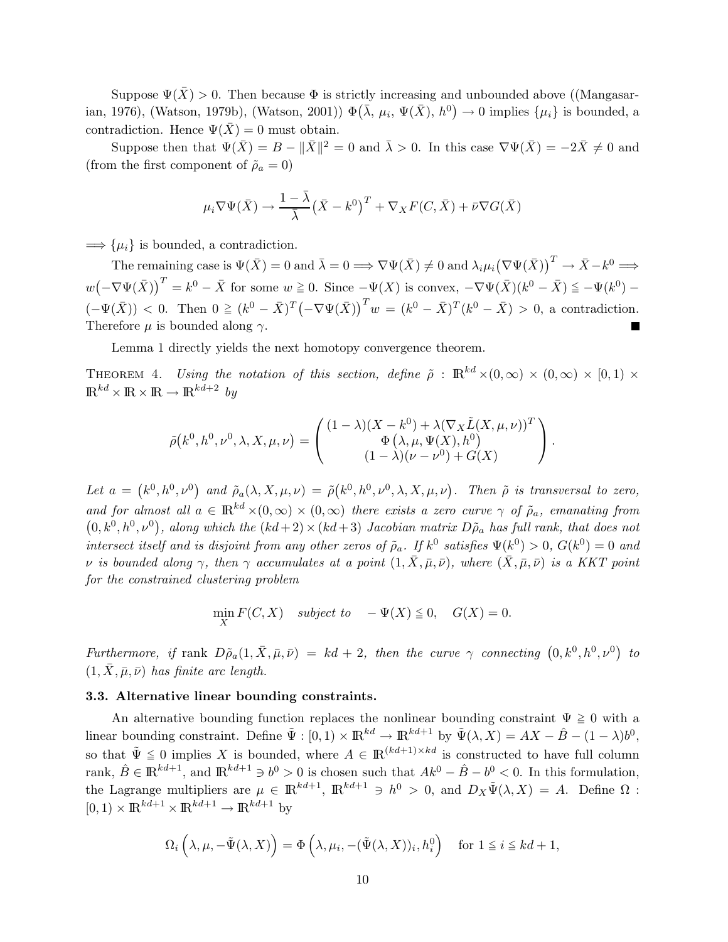Suppose  $\Psi(\bar{X}) > 0$ . Then because  $\Phi$  is strictly increasing and unbounded above ((Mangasarian, 1976), (Watson, 1979b), (Watson, 2001))  $\Phi(\bar{\lambda}, \mu_i, \Psi(\bar{X}), h^0) \to 0$  implies  $\{\mu_i\}$  is bounded, a contradiction. Hence  $\Psi(\bar{X}) = 0$  must obtain.

Suppose then that  $\Psi(\bar{X}) = B - ||\bar{X}||^2 = 0$  and  $\bar{\lambda} > 0$ . In this case  $\nabla \Psi(\bar{X}) = -2\bar{X} \neq 0$  and (from the first component of  $\tilde{\rho}_a = 0$ )

$$
\mu_i \nabla \Psi(\bar{X}) \to \frac{1 - \bar{\lambda}}{\bar{\lambda}} (\bar{X} - k^0)^T + \nabla_X F(C, \bar{X}) + \bar{\nu} \nabla G(\bar{X})
$$

 $\Longrightarrow$  { $\mu_i$ } is bounded, a contradiction.

The remaining case is  $\Psi(\bar{X}) = 0$  and  $\bar{\lambda} = 0 \Longrightarrow \nabla \Psi(\bar{X}) \neq 0$  and  $\lambda_i \mu_i (\nabla \Psi(\bar{X}))^T \to \bar{X} - k^0 \Longrightarrow$  $w(-\nabla\Psi(\bar{X}))^T = k^0 - \bar{X}$  for some  $w \ge 0$ . Since  $-\Psi(X)$  is convex,  $-\nabla\Psi(\bar{X})(k^0 - \bar{X}) \le -\Psi(k^0) - \bar{X}$  $(-\Psi(\bar{X})) < 0$ . Then  $0 \ge (k^0 - \bar{X})^T (-\nabla \Psi(\bar{X}))^T w = (k^0 - \bar{X})^T (k^0 - \bar{X}) > 0$ , a contradiction. Therefore  $\mu$  is bounded along  $\gamma$ .

Lemma 1 directly yields the next homotopy convergence theorem.

THEOREM 4. Using the notation of this section, define  $\tilde{\rho}$  :  $\mathbb{R}^{kd} \times (0,\infty) \times (0,\infty) \times (0,1) \times$  $\mathbb{R}^{kd} \times \mathbb{R} \times \mathbb{R} \to \mathbb{R}^{kd+2}$  by

$$
\tilde{\rho}(k^0, h^0, \nu^0, \lambda, X, \mu, \nu) = \begin{pmatrix} (1 - \lambda)(X - k^0) + \lambda(\nabla_X \tilde{L}(X, \mu, \nu))^T \\ \Phi(\lambda, \mu, \Psi(X), h^0) \\ (1 - \lambda)(\nu - \nu^0) + G(X) \end{pmatrix}.
$$

Let  $a = (k^0, h^0, \nu^0)$  and  $\tilde{\rho}_a(\lambda, X, \mu, \nu) = \tilde{\rho}(k^0, h^0, \nu^0, \lambda, X, \mu, \nu)$ . Then  $\tilde{\rho}$  is transversal to zero, and for almost all  $a \in \mathbb{R}^{kd} \times (0,\infty) \times (0,\infty)$  there exists a zero curve  $\gamma$  of  $\tilde{\rho}_a$ , emanating from  $(0, k^0, h^0, \nu^0)$ , along which the  $(kd+2) \times (kd+3)$  Jacobian matrix  $D\tilde{\rho}_a$  has full rank, that does not intersect itself and is disjoint from any other zeros of  $\tilde{\rho}_a$ . If  $k^0$  satisfies  $\Psi(k^0) > 0$ ,  $G(k^0) = 0$  and v is bounded along  $\gamma$ , then  $\gamma$  accumulates at a point  $(1, \bar{X}, \bar{\mu}, \bar{\nu})$ , where  $(\bar{X}, \bar{\mu}, \bar{\nu})$  is a KKT point for the constrained clustering problem

$$
\min_X F(C, X) \quad subject \ to \quad -\Psi(X) \leqq 0, \quad G(X) = 0.
$$

Furthermore, if rank  $D\tilde{\rho}_a(1,\bar{X},\bar{\mu},\bar{\nu}) = kd + 2$ , then the curve  $\gamma$  connecting  $(0,k^0,h^0,\nu^0)$  to  $(1, \overline{X}, \overline{\mu}, \overline{\nu})$  has finite arc length.

#### 3.3. Alternative linear bounding constraints.

An alternative bounding function replaces the nonlinear bounding constraint  $\Psi \geq 0$  with a linear bounding constraint. Define  $\tilde{\Psi} : [0,1) \times \mathbb{R}^{kd} \to \mathbb{R}^{kd+1}$  by  $\tilde{\Psi}(\lambda, X) = AX - \hat{B} - (1 - \lambda)b^0$ , so that  $\tilde{\Psi} \leq 0$  implies X is bounded, where  $A \in \mathbb{R}^{(kd+1)\times kd}$  is constructed to have full column rank,  $\hat{B} \in \mathbb{R}^{kd+1}$ , and  $\mathbb{R}^{kd+1} \ni b^0 > 0$  is chosen such that  $Ak^0 - \hat{B} - b^0 < 0$ . In this formulation, the Lagrange multipliers are  $\mu \in \mathbb{R}^{kd+1}$ ,  $\mathbb{R}^{kd+1} \ni h^0 > 0$ , and  $D_X \tilde{\Psi}(\lambda, X) = A$ . Define  $\Omega$ :  $[0, 1) \times \mathbb{R}^{kd+1} \times \mathbb{R}^{kd+1} \to \mathbb{R}^{kd+1}$  by

$$
\Omega_i\left(\lambda,\mu,-\tilde{\Psi}(\lambda,X)\right)=\Phi\left(\lambda,\mu_i,-(\tilde{\Psi}(\lambda,X))_i,h_i^0\right) \text{ for } 1\leq i\leq kd+1,
$$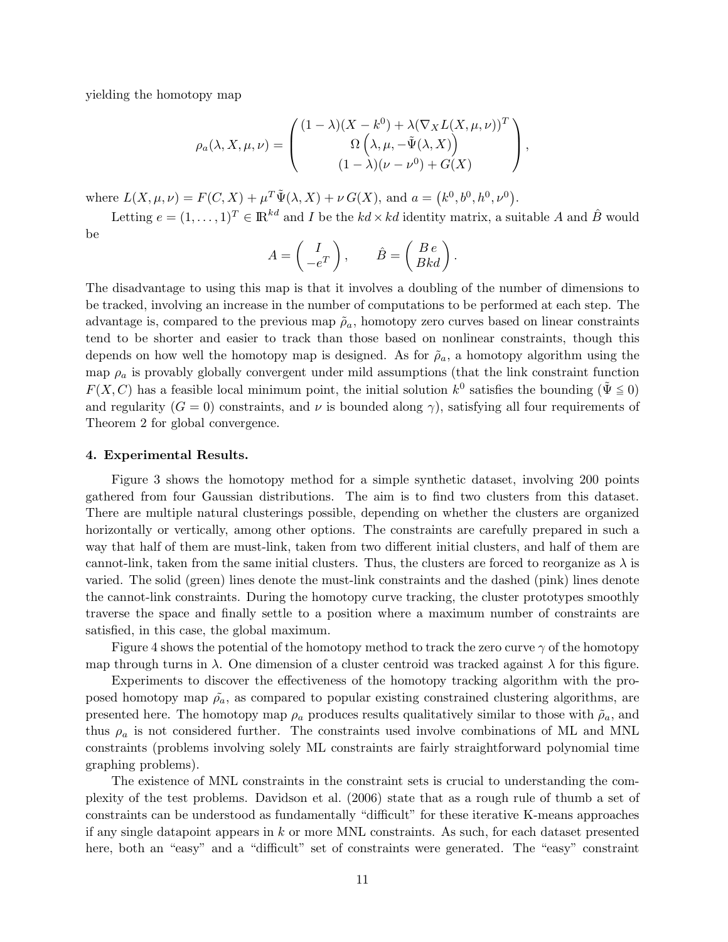yielding the homotopy map

$$
\rho_a(\lambda, X, \mu, \nu) = \begin{pmatrix} (1 - \lambda)(X - k^0) + \lambda(\nabla_X L(X, \mu, \nu))^T \\ \Omega\left(\lambda, \mu, -\tilde{\Psi}(\lambda, X)\right) \\ (1 - \lambda)(\nu - \nu^0) + G(X) \end{pmatrix},
$$

where  $L(X, \mu, \nu) = F(C, X) + \mu^T \tilde{\Psi}(\lambda, X) + \nu G(X)$ , and  $a = (k^0, b^0, h^0, \nu^0)$ .

Letting  $e = (1, \ldots, 1)^T \in \mathbb{R}^{kd}$  and I be the  $kd \times kd$  identity matrix, a suitable A and  $\hat{B}$  would be

$$
A = \begin{pmatrix} I \\ -e^T \end{pmatrix}, \qquad \hat{B} = \begin{pmatrix} B e \\ B k d \end{pmatrix}.
$$

The disadvantage to using this map is that it involves a doubling of the number of dimensions to be tracked, involving an increase in the number of computations to be performed at each step. The advantage is, compared to the previous map  $\tilde{\rho}_a$ , homotopy zero curves based on linear constraints tend to be shorter and easier to track than those based on nonlinear constraints, though this depends on how well the homotopy map is designed. As for  $\tilde{\rho}_a$ , a homotopy algorithm using the map  $\rho_a$  is provably globally convergent under mild assumptions (that the link constraint function  $F(X, C)$  has a feasible local minimum point, the initial solution  $k^0$  satisfies the bounding  $(\tilde{\Psi} \leq 0)$ and regularity  $(G = 0)$  constraints, and  $\nu$  is bounded along  $\gamma$ ), satisfying all four requirements of Theorem 2 for global convergence.

#### 4. Experimental Results.

Figure 3 shows the homotopy method for a simple synthetic dataset, involving 200 points gathered from four Gaussian distributions. The aim is to find two clusters from this dataset. There are multiple natural clusterings possible, depending on whether the clusters are organized horizontally or vertically, among other options. The constraints are carefully prepared in such a way that half of them are must-link, taken from two different initial clusters, and half of them are cannot-link, taken from the same initial clusters. Thus, the clusters are forced to reorganize as  $\lambda$  is varied. The solid (green) lines denote the must-link constraints and the dashed (pink) lines denote the cannot-link constraints. During the homotopy curve tracking, the cluster prototypes smoothly traverse the space and finally settle to a position where a maximum number of constraints are satisfied, in this case, the global maximum.

Figure 4 shows the potential of the homotopy method to track the zero curve  $\gamma$  of the homotopy map through turns in  $\lambda$ . One dimension of a cluster centroid was tracked against  $\lambda$  for this figure.

Experiments to discover the effectiveness of the homotopy tracking algorithm with the proposed homotopy map  $\tilde{\rho}_a$ , as compared to popular existing constrained clustering algorithms, are presented here. The homotopy map  $\rho_a$  produces results qualitatively similar to those with  $\tilde{\rho}_a$ , and thus  $\rho_a$  is not considered further. The constraints used involve combinations of ML and MNL constraints (problems involving solely ML constraints are fairly straightforward polynomial time graphing problems).

The existence of MNL constraints in the constraint sets is crucial to understanding the complexity of the test problems. Davidson et al. (2006) state that as a rough rule of thumb a set of constraints can be understood as fundamentally "difficult" for these iterative K-means approaches if any single datapoint appears in k or more MNL constraints. As such, for each dataset presented here, both an "easy" and a "difficult" set of constraints were generated. The "easy" constraint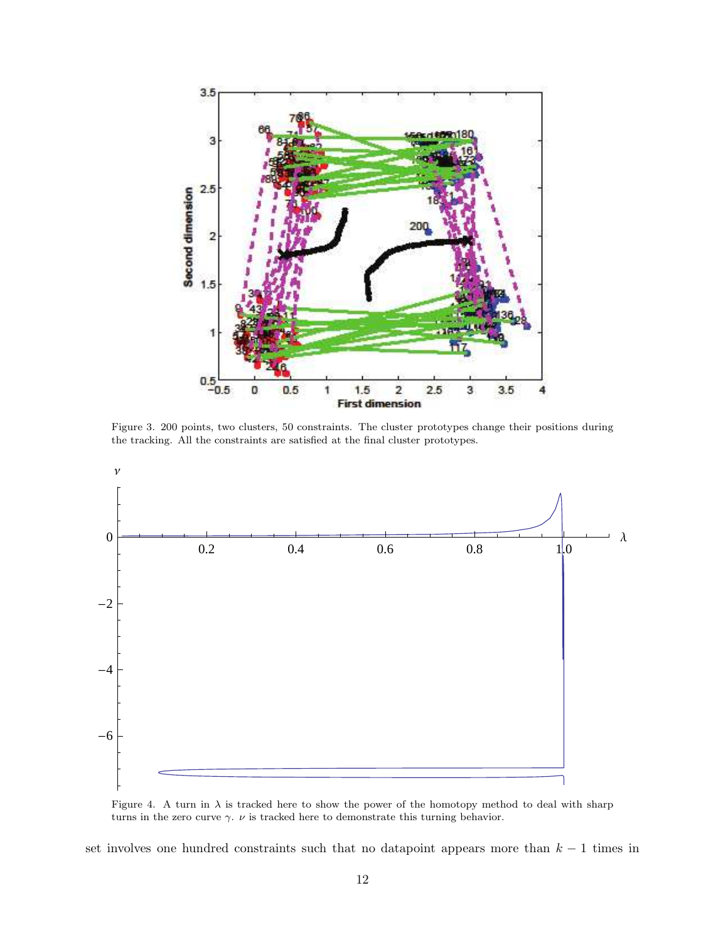

Figure 3. 200 points, two clusters, 50 constraints. The cluster prototypes change their positions during the tracking. All the constraints are satisfied at the final cluster prototypes.



Figure 4. A turn in  $\lambda$  is tracked here to show the power of the homotopy method to deal with sharp turns in the zero curve  $\gamma.~\nu$  is tracked here to demonstrate this turning behavior.

set involves one hundred constraints such that no datapoint appears more than  $k-1$  times in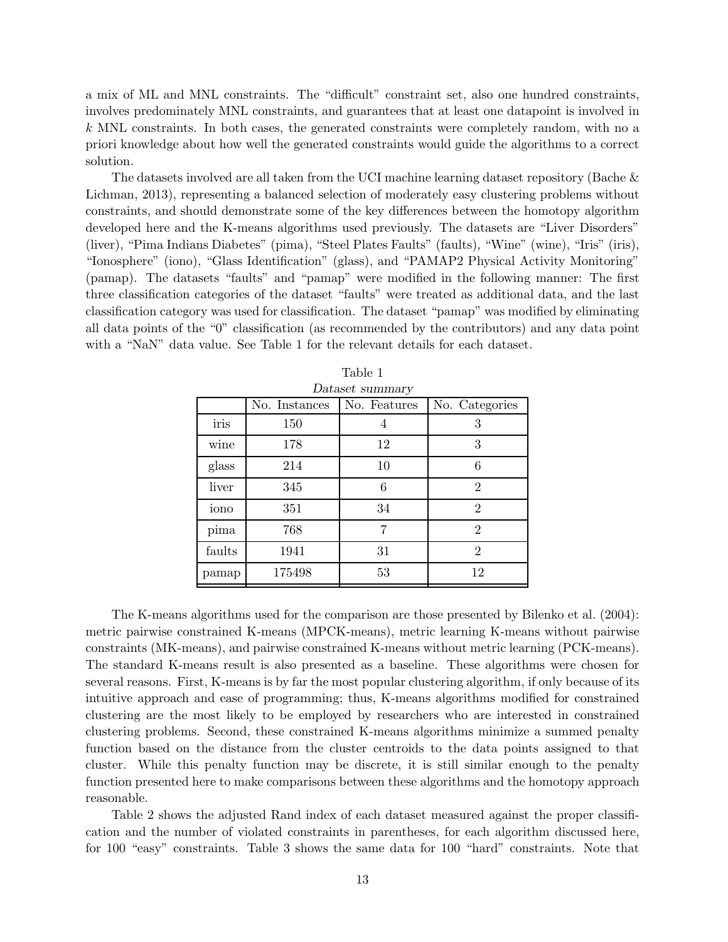a mix of ML and MNL constraints. The "difficult" constraint set, also one hundred constraints, involves predominately MNL constraints, and guarantees that at least one datapoint is involved in k MNL constraints. In both cases, the generated constraints were completely random, with no a priori knowledge about how well the generated constraints would guide the algorithms to a correct solution.

The datasets involved are all taken from the UCI machine learning dataset repository (Bache & Lichman, 2013), representing a balanced selection of moderately easy clustering problems without constraints, and should demonstrate some of the key differences between the homotopy algorithm developed here and the K-means algorithms used previously. The datasets are "Liver Disorders" (liver), "Pima Indians Diabetes" (pima), "Steel Plates Faults" (faults), "Wine" (wine), "Iris" (iris), "Ionosphere" (iono), "Glass Identification" (glass), and "PAMAP2 Physical Activity Monitoring" (pamap). The datasets "faults" and "pamap" were modified in the following manner: The first three classification categories of the dataset "faults" were treated as additional data, and the last classification category was used for classification. The dataset "pamap" was modified by eliminating all data points of the "0" classification (as recommended by the contributors) and any data point with a "NaN" data value. See Table 1 for the relevant details for each dataset.

| Dataset summary |               |              |                |  |  |
|-----------------|---------------|--------------|----------------|--|--|
|                 | No. Instances | No. Features | No. Categories |  |  |
| iris            | 150           | 4            | 3              |  |  |
| wine            | 178           | 12           | 3              |  |  |
| glass           | 214           | 10           | 6              |  |  |
| liver           | 345           | 6            | $\overline{2}$ |  |  |
| iono            | 351           | 34           | $\overline{2}$ |  |  |
| pima            | 768           | 7            | $\overline{2}$ |  |  |
| faults          | 1941          | 31           | $\overline{2}$ |  |  |
| pamap           | 175498        | 53           | 12             |  |  |

| Table 1                        |
|--------------------------------|
| $\rightarrow$ to get guns more |

The K-means algorithms used for the comparison are those presented by Bilenko et al. (2004): metric pairwise constrained K-means (MPCK-means), metric learning K-means without pairwise constraints (MK-means), and pairwise constrained K-means without metric learning (PCK-means). The standard K-means result is also presented as a baseline. These algorithms were chosen for several reasons. First, K-means is by far the most popular clustering algorithm, if only because of its intuitive approach and ease of programming; thus, K-means algorithms modified for constrained clustering are the most likely to be employed by researchers who are interested in constrained clustering problems. Second, these constrained K-means algorithms minimize a summed penalty function based on the distance from the cluster centroids to the data points assigned to that cluster. While this penalty function may be discrete, it is still similar enough to the penalty function presented here to make comparisons between these algorithms and the homotopy approach reasonable.

Table 2 shows the adjusted Rand index of each dataset measured against the proper classification and the number of violated constraints in parentheses, for each algorithm discussed here, for 100 "easy" constraints. Table 3 shows the same data for 100 "hard" constraints. Note that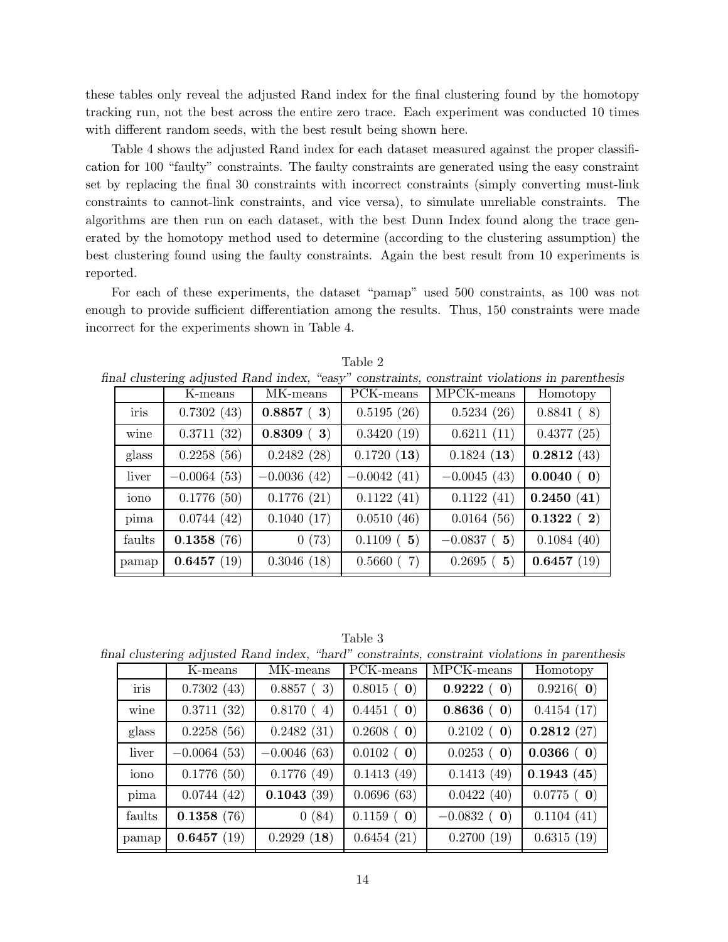these tables only reveal the adjusted Rand index for the final clustering found by the homotopy tracking run, not the best across the entire zero trace. Each experiment was conducted 10 times with different random seeds, with the best result being shown here.

Table 4 shows the adjusted Rand index for each dataset measured against the proper classification for 100 "faulty" constraints. The faulty constraints are generated using the easy constraint set by replacing the final 30 constraints with incorrect constraints (simply converting must-link constraints to cannot-link constraints, and vice versa), to simulate unreliable constraints. The algorithms are then run on each dataset, with the best Dunn Index found along the trace generated by the homotopy method used to determine (according to the clustering assumption) the best clustering found using the faulty constraints. Again the best result from 10 experiments is reported.

For each of these experiments, the dataset "pamap" used 500 constraints, as 100 was not enough to provide sufficient differentiation among the results. Thus, 150 constraints were made incorrect for the experiments shown in Table 4.

|        | K-means       | MK-means      | PCK-means     | MPCK-means    | Homotopy   |
|--------|---------------|---------------|---------------|---------------|------------|
| iris   | 0.7302(43)    | 0.8857(3)     | 0.5195(26)    | 0.5234(26)    | 0.8841(8)  |
| wine   | 0.3711(32)    | 0.8309(3)     | 0.3420(19)    | 0.6211(11)    | 0.4377(25) |
| glass  | 0.2258(56)    | 0.2482(28)    | 0.1720(13)    | 0.1824(13)    | 0.2812(43) |
| liver  | $-0.0064(53)$ | $-0.0036(42)$ | $-0.0042(41)$ | $-0.0045(43)$ | 0.0040(0)  |
| iono   | 0.1776(50)    | 0.1776(21)    | 0.1122(41)    | 0.1122(41)    | 0.2450(41) |
| pima   | 0.0744(42)    | 0.1040(17)    | 0.0510(46)    | 0.0164(56)    | 0.1322(2)  |
| faults | 0.1358(76)    | 0(73)         | 0.1109(5)     | $-0.0837$ (5) | 0.1084(40) |
| pamap  | 0.6457(19)    | 0.3046(18)    | 0.5660(7)     | 0.2695(5)     | 0.6457(19) |

Table 2

final clustering adjusted Rand index, "easy" constraints, constraint violations in parenthesis

Table 3

final clustering adjusted Rand index, "hard" constraints, constraint violations in parenthesis

|        | K-means       | MK-means      | PCK-means             | MPCK-means            | Homotopy              |
|--------|---------------|---------------|-----------------------|-----------------------|-----------------------|
| iris   | 0.7302(43)    | 0.8857(3)     | $0.8015$ ( <b>0</b> ) | 0.9222(0)             | $0.9216($ 0)          |
| wine   | 0.3711(32)    | 0.8170(4)     | 0.4451(0)             | 0.8636(0)             | 0.4154(17)            |
| glass  | 0.2258(56)    | 0.2482(31)    | $0.2608$ ( <b>0</b> ) | $0.2102$ ( <b>0</b> ) | 0.2812(27)            |
| liver  | $-0.0064(53)$ | $-0.0046(63)$ | $0.0102$ ( <b>0</b> ) | 0.0253(0)             | $0.0366$ (0)          |
| iono   | 0.1776(50)    | 0.1776(49)    | 0.1413(49)            | 0.1413(49)            | 0.1943(45)            |
| pima   | 0.0744(42)    | 0.1043(39)    | 0.0696(63)            | 0.0422(40)            | $0.0775$ ( <b>0</b> ) |
| faults | 0.1358(76)    | 0(84)         | $0.1159$ ( <b>0</b> ) | $-0.0832$ (0)         | 0.1104(41)            |
| pamap  | 0.6457(19)    | 0.2929(18)    | 0.6454(21)            | 0.2700(19)            | 0.6315(19)            |
|        |               |               |                       |                       |                       |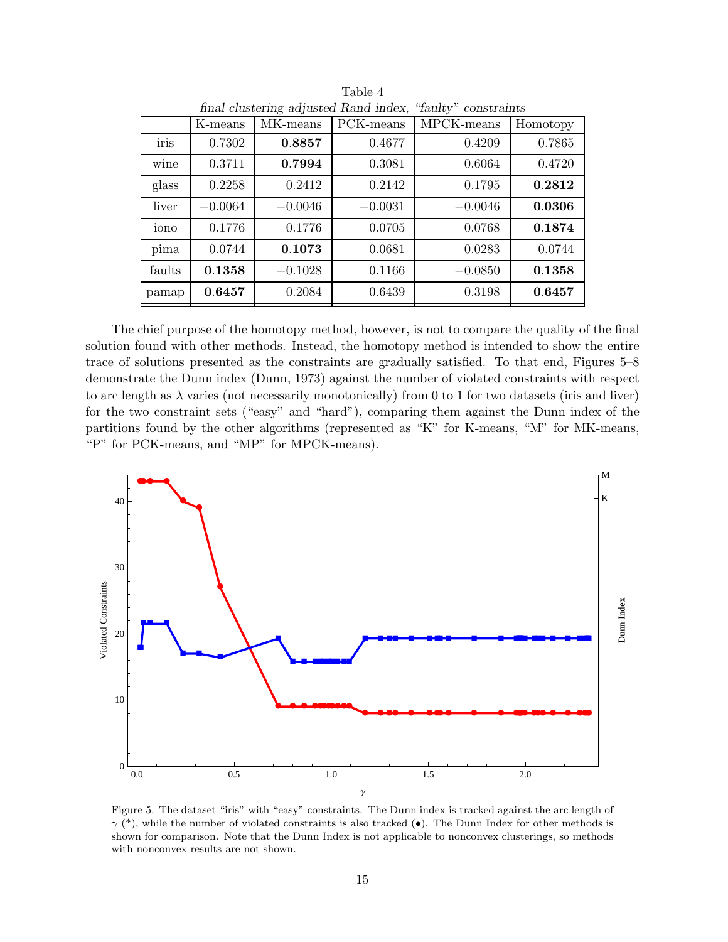| final clustering adjusted Rand index,<br>"faulty" constraints |           |           |           |            |          |
|---------------------------------------------------------------|-----------|-----------|-----------|------------|----------|
|                                                               | K-means   | MK-means  | PCK-means | MPCK-means | Homotopy |
| iris                                                          | 0.7302    | 0.8857    | 0.4677    | 0.4209     | 0.7865   |
| wine                                                          | 0.3711    | 0.7994    | 0.3081    | 0.6064     | 0.4720   |
| glass                                                         | 0.2258    | 0.2412    | 0.2142    | 0.1795     | 0.2812   |
| liver                                                         | $-0.0064$ | $-0.0046$ | $-0.0031$ | $-0.0046$  | 0.0306   |
| iono                                                          | 0.1776    | 0.1776    | 0.0705    | 0.0768     | 0.1874   |
| pima                                                          | 0.0744    | 0.1073    | 0.0681    | 0.0283     | 0.0744   |
| faults                                                        | 0.1358    | $-0.1028$ | 0.1166    | $-0.0850$  | 0.1358   |
| pamap                                                         | 0.6457    | 0.2084    | 0.6439    | 0.3198     | 0.6457   |

Table 4

The chief purpose of the homotopy method, however, is not to compare the quality of the final solution found with other methods. Instead, the homotopy method is intended to show the entire trace of solutions presented as the constraints are gradually satisfied. To that end, Figures 5–8 demonstrate the Dunn index (Dunn, 1973) against the number of violated constraints with respect to arc length as  $\lambda$  varies (not necessarily monotonically) from 0 to 1 for two datasets (iris and liver) for the two constraint sets ("easy" and "hard"), comparing them against the Dunn index of the partitions found by the other algorithms (represented as "K" for K-means, "M" for MK-means, "P" for PCK-means, and "MP" for MPCK-means).



Figure 5. The dataset "iris" with "easy" constraints. The Dunn index is tracked against the arc length of  $\gamma$  (\*), while the number of violated constraints is also tracked ( $\bullet$ ). The Dunn Index for other methods is shown for comparison. Note that the Dunn Index is not applicable to nonconvex clusterings, so methods with nonconvex results are not shown.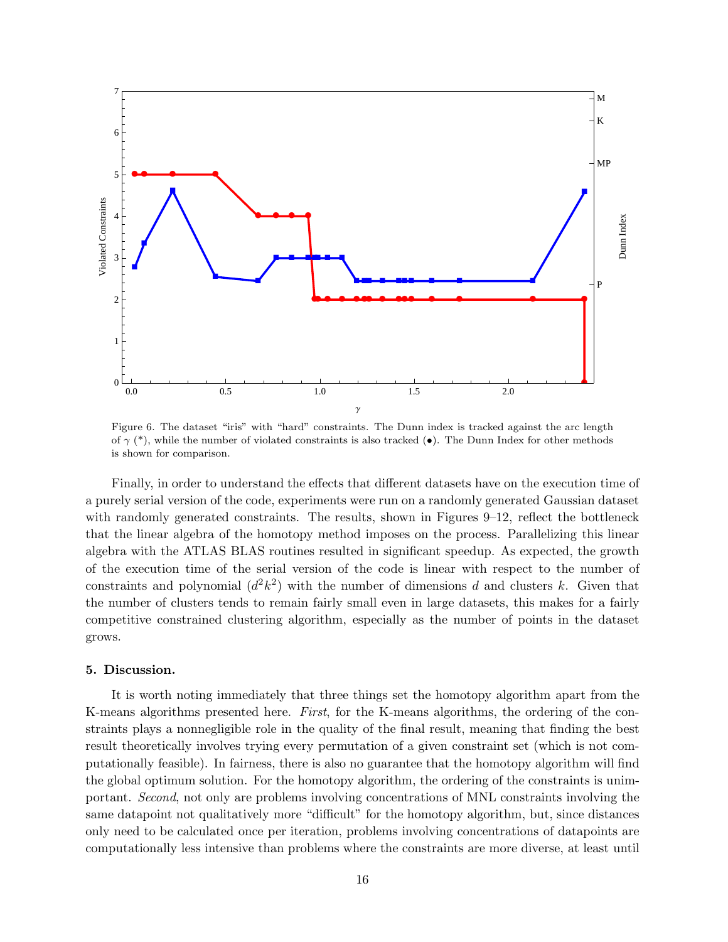

Figure 6. The dataset "iris" with "hard" constraints. The Dunn index is tracked against the arc length of  $\gamma$  (\*), while the number of violated constraints is also tracked ( $\bullet$ ). The Dunn Index for other methods is shown for comparison.

Finally, in order to understand the effects that different datasets have on the execution time of a purely serial version of the code, experiments were run on a randomly generated Gaussian dataset with randomly generated constraints. The results, shown in Figures 9–12, reflect the bottleneck that the linear algebra of the homotopy method imposes on the process. Parallelizing this linear algebra with the ATLAS BLAS routines resulted in significant speedup. As expected, the growth of the execution time of the serial version of the code is linear with respect to the number of constraints and polynomial  $(d^2k^2)$  with the number of dimensions d and clusters k. Given that the number of clusters tends to remain fairly small even in large datasets, this makes for a fairly competitive constrained clustering algorithm, especially as the number of points in the dataset grows.

#### 5. Discussion.

It is worth noting immediately that three things set the homotopy algorithm apart from the K-means algorithms presented here. First, for the K-means algorithms, the ordering of the constraints plays a nonnegligible role in the quality of the final result, meaning that finding the best result theoretically involves trying every permutation of a given constraint set (which is not computationally feasible). In fairness, there is also no guarantee that the homotopy algorithm will find the global optimum solution. For the homotopy algorithm, the ordering of the constraints is unimportant. Second, not only are problems involving concentrations of MNL constraints involving the same datapoint not qualitatively more "difficult" for the homotopy algorithm, but, since distances only need to be calculated once per iteration, problems involving concentrations of datapoints are computationally less intensive than problems where the constraints are more diverse, at least until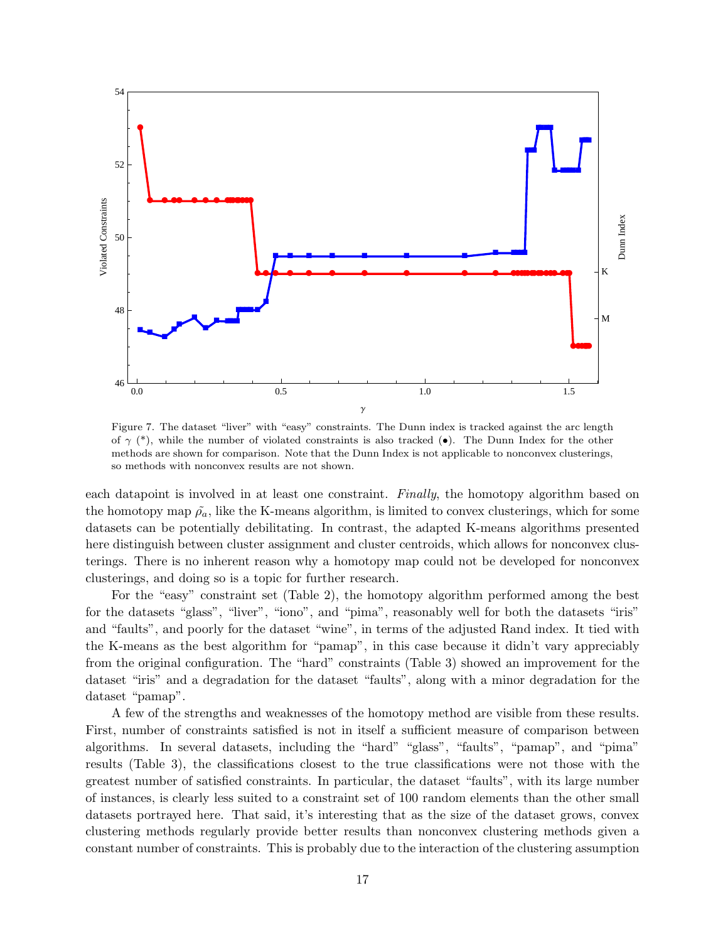

Figure 7. The dataset "liver" with "easy" constraints. The Dunn index is tracked against the arc length of  $\gamma$  (\*), while the number of violated constraints is also tracked ( $\bullet$ ). The Dunn Index for the other methods are shown for comparison. Note that the Dunn Index is not applicable to nonconvex clusterings, so methods with nonconvex results are not shown.

each datapoint is involved in at least one constraint. Finally, the homotopy algorithm based on the homotopy map  $\tilde{\rho}_a$ , like the K-means algorithm, is limited to convex clusterings, which for some datasets can be potentially debilitating. In contrast, the adapted K-means algorithms presented here distinguish between cluster assignment and cluster centroids, which allows for nonconvex clusterings. There is no inherent reason why a homotopy map could not be developed for nonconvex clusterings, and doing so is a topic for further research.

For the "easy" constraint set (Table 2), the homotopy algorithm performed among the best for the datasets "glass", "liver", "iono", and "pima", reasonably well for both the datasets "iris" and "faults", and poorly for the dataset "wine", in terms of the adjusted Rand index. It tied with the K-means as the best algorithm for "pamap", in this case because it didn't vary appreciably from the original configuration. The "hard" constraints (Table 3) showed an improvement for the dataset "iris" and a degradation for the dataset "faults", along with a minor degradation for the dataset "pamap".

A few of the strengths and weaknesses of the homotopy method are visible from these results. First, number of constraints satisfied is not in itself a sufficient measure of comparison between algorithms. In several datasets, including the "hard" "glass", "faults", "pamap", and "pima" results (Table 3), the classifications closest to the true classifications were not those with the greatest number of satisfied constraints. In particular, the dataset "faults", with its large number of instances, is clearly less suited to a constraint set of 100 random elements than the other small datasets portrayed here. That said, it's interesting that as the size of the dataset grows, convex clustering methods regularly provide better results than nonconvex clustering methods given a constant number of constraints. This is probably due to the interaction of the clustering assumption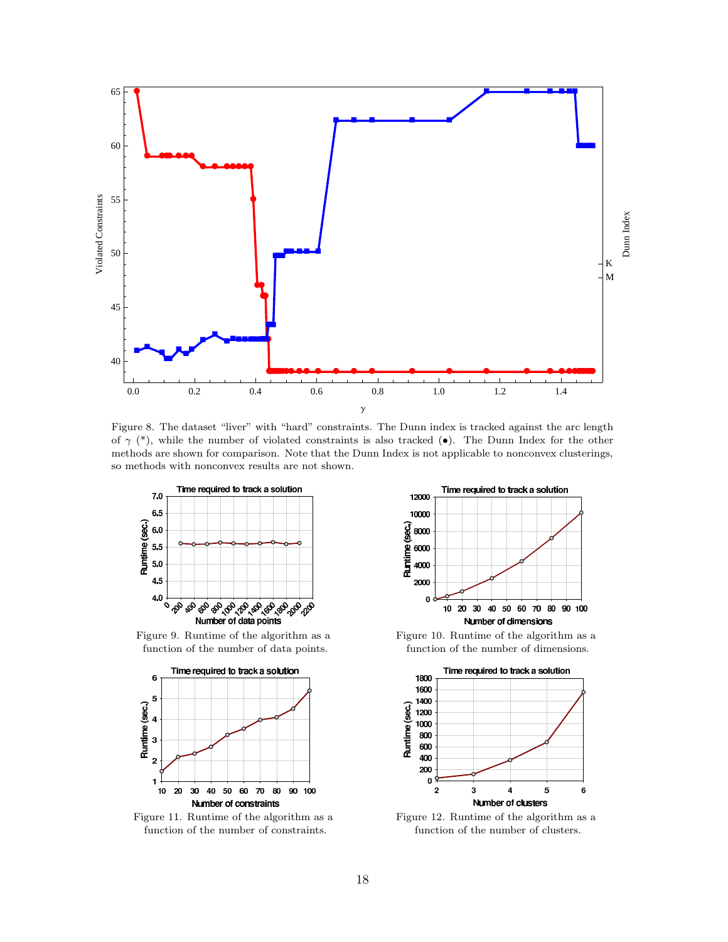

Figure 8. The dataset "liver" with "hard" constraints. The Dunn index is tracked against the arc length of  $\gamma$  (\*), while the number of violated constraints is also tracked ( $\bullet$ ). The Dunn Index for the other methods are shown for comparison. Note that the Dunn Index is not applicable to nonconvex clusterings, so methods with nonconvex results are not shown.



Figure 9. Runtime of the algorithm as a function of the number of data points.



Figure 11. Runtime of the algorithm as a function of the number of constraints.



Figure 10. Runtime of the algorithm as a function of the number of dimensions.



Figure 12. Runtime of the algorithm as a function of the number of clusters.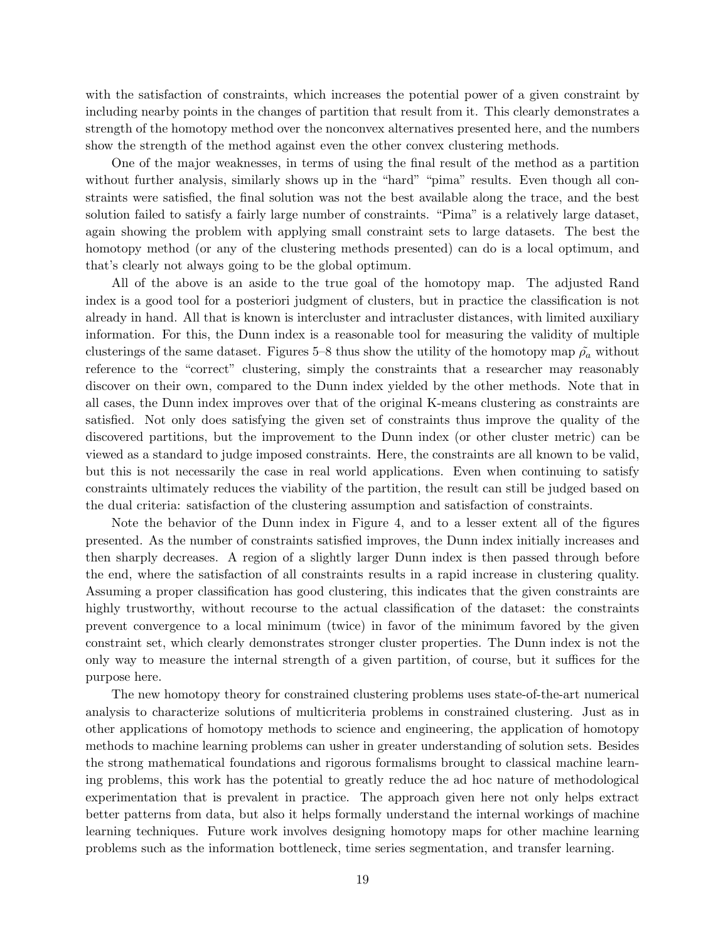with the satisfaction of constraints, which increases the potential power of a given constraint by including nearby points in the changes of partition that result from it. This clearly demonstrates a strength of the homotopy method over the nonconvex alternatives presented here, and the numbers show the strength of the method against even the other convex clustering methods.

One of the major weaknesses, in terms of using the final result of the method as a partition without further analysis, similarly shows up in the "hard" "pima" results. Even though all constraints were satisfied, the final solution was not the best available along the trace, and the best solution failed to satisfy a fairly large number of constraints. "Pima" is a relatively large dataset, again showing the problem with applying small constraint sets to large datasets. The best the homotopy method (or any of the clustering methods presented) can do is a local optimum, and that's clearly not always going to be the global optimum.

All of the above is an aside to the true goal of the homotopy map. The adjusted Rand index is a good tool for a posteriori judgment of clusters, but in practice the classification is not already in hand. All that is known is intercluster and intracluster distances, with limited auxiliary information. For this, the Dunn index is a reasonable tool for measuring the validity of multiple clusterings of the same dataset. Figures 5–8 thus show the utility of the homotopy map  $\tilde{\rho}_a$  without reference to the "correct" clustering, simply the constraints that a researcher may reasonably discover on their own, compared to the Dunn index yielded by the other methods. Note that in all cases, the Dunn index improves over that of the original K-means clustering as constraints are satisfied. Not only does satisfying the given set of constraints thus improve the quality of the discovered partitions, but the improvement to the Dunn index (or other cluster metric) can be viewed as a standard to judge imposed constraints. Here, the constraints are all known to be valid, but this is not necessarily the case in real world applications. Even when continuing to satisfy constraints ultimately reduces the viability of the partition, the result can still be judged based on the dual criteria: satisfaction of the clustering assumption and satisfaction of constraints.

Note the behavior of the Dunn index in Figure 4, and to a lesser extent all of the figures presented. As the number of constraints satisfied improves, the Dunn index initially increases and then sharply decreases. A region of a slightly larger Dunn index is then passed through before the end, where the satisfaction of all constraints results in a rapid increase in clustering quality. Assuming a proper classification has good clustering, this indicates that the given constraints are highly trustworthy, without recourse to the actual classification of the dataset: the constraints prevent convergence to a local minimum (twice) in favor of the minimum favored by the given constraint set, which clearly demonstrates stronger cluster properties. The Dunn index is not the only way to measure the internal strength of a given partition, of course, but it suffices for the purpose here.

The new homotopy theory for constrained clustering problems uses state-of-the-art numerical analysis to characterize solutions of multicriteria problems in constrained clustering. Just as in other applications of homotopy methods to science and engineering, the application of homotopy methods to machine learning problems can usher in greater understanding of solution sets. Besides the strong mathematical foundations and rigorous formalisms brought to classical machine learning problems, this work has the potential to greatly reduce the ad hoc nature of methodological experimentation that is prevalent in practice. The approach given here not only helps extract better patterns from data, but also it helps formally understand the internal workings of machine learning techniques. Future work involves designing homotopy maps for other machine learning problems such as the information bottleneck, time series segmentation, and transfer learning.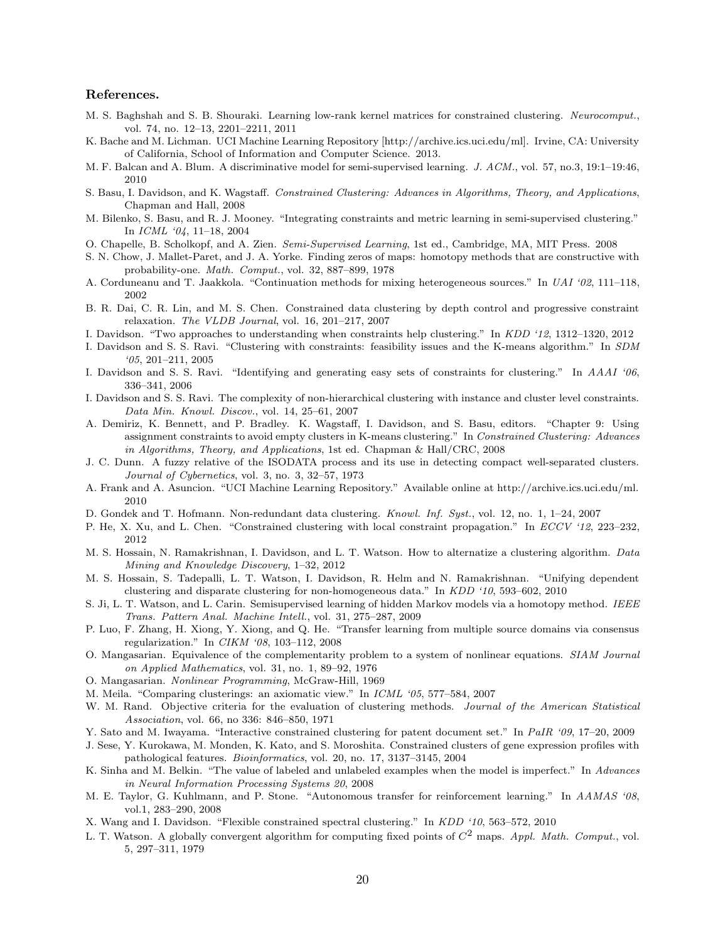#### References.

- M. S. Baghshah and S. B. Shouraki. Learning low-rank kernel matrices for constrained clustering. *Neurocomput.*, vol. 74, no. 12–13, 2201–2211, 2011
- K. Bache and M. Lichman. UCI Machine Learning Repository [http://archive.ics.uci.edu/ml]. Irvine, CA: University of California, School of Information and Computer Science. 2013.
- M. F. Balcan and A. Blum. A discriminative model for semi-supervised learning. *J. ACM.*, vol. 57, no.3, 19:1–19:46, 2010
- S. Basu, I. Davidson, and K. Wagstaff. *Constrained Clustering: Advances in Algorithms, Theory, and Applications*, Chapman and Hall, 2008
- M. Bilenko, S. Basu, and R. J. Mooney. "Integrating constraints and metric learning in semi-supervised clustering." In *ICML '04*, 11–18, 2004
- O. Chapelle, B. Scholkopf, and A. Zien. *Semi-Supervised Learning*, 1st ed., Cambridge, MA, MIT Press. 2008
- S. N. Chow, J. Mallet-Paret, and J. A. Yorke. Finding zeros of maps: homotopy methods that are constructive with probability-one. *Math. Comput.*, vol. 32, 887–899, 1978
- A. Corduneanu and T. Jaakkola. "Continuation methods for mixing heterogeneous sources." In *UAI '02*, 111–118, 2002
- B. R. Dai, C. R. Lin, and M. S. Chen. Constrained data clustering by depth control and progressive constraint relaxation. *The VLDB Journal*, vol. 16, 201–217, 2007
- I. Davidson. "Two approaches to understanding when constraints help clustering." In *KDD '12*, 1312–1320, 2012
- I. Davidson and S. S. Ravi. "Clustering with constraints: feasibility issues and the K-means algorithm." In *SDM '05*, 201–211, 2005
- I. Davidson and S. S. Ravi. "Identifying and generating easy sets of constraints for clustering." In *AAAI '06*, 336–341, 2006
- I. Davidson and S. S. Ravi. The complexity of non-hierarchical clustering with instance and cluster level constraints. *Data Min. Knowl. Discov.*, vol. 14, 25–61, 2007
- A. Demiriz, K. Bennett, and P. Bradley. K. Wagstaff, I. Davidson, and S. Basu, editors. "Chapter 9: Using assignment constraints to avoid empty clusters in K-means clustering." In *Constrained Clustering: Advances in Algorithms, Theory, and Applications*, 1st ed. Chapman & Hall/CRC, 2008
- J. C. Dunn. A fuzzy relative of the ISODATA process and its use in detecting compact well-separated clusters. *Journal of Cybernetics*, vol. 3, no. 3, 32–57, 1973
- A. Frank and A. Asuncion. "UCI Machine Learning Repository." Available online at http://archive.ics.uci.edu/ml. 2010
- D. Gondek and T. Hofmann. Non-redundant data clustering. *Knowl. Inf. Syst.*, vol. 12, no. 1, 1–24, 2007
- P. He, X. Xu, and L. Chen. "Constrained clustering with local constraint propagation." In *ECCV '12*, 223–232, 2012
- M. S. Hossain, N. Ramakrishnan, I. Davidson, and L. T. Watson. How to alternatize a clustering algorithm. *Data Mining and Knowledge Discovery*, 1–32, 2012
- M. S. Hossain, S. Tadepalli, L. T. Watson, I. Davidson, R. Helm and N. Ramakrishnan. "Unifying dependent clustering and disparate clustering for non-homogeneous data." In *KDD '10*, 593–602, 2010
- S. Ji, L. T. Watson, and L. Carin. Semisupervised learning of hidden Markov models via a homotopy method. *IEEE Trans. Pattern Anal. Machine Intell.*, vol. 31, 275–287, 2009
- P. Luo, F. Zhang, H. Xiong, Y. Xiong, and Q. He. "Transfer learning from multiple source domains via consensus regularization." In *CIKM '08*, 103–112, 2008
- O. Mangasarian. Equivalence of the complementarity problem to a system of nonlinear equations. *SIAM Journal on Applied Mathematics*, vol. 31, no. 1, 89–92, 1976
- O. Mangasarian. *Nonlinear Programming*, McGraw-Hill, 1969
- M. Meila. "Comparing clusterings: an axiomatic view." In *ICML '05*, 577–584, 2007
- W. M. Rand. Objective criteria for the evaluation of clustering methods. *Journal of the American Statistical Association*, vol. 66, no 336: 846–850, 1971
- Y. Sato and M. Iwayama. "Interactive constrained clustering for patent document set." In *PaIR '09*, 17–20, 2009
- J. Sese, Y. Kurokawa, M. Monden, K. Kato, and S. Moroshita. Constrained clusters of gene expression profiles with pathological features. *Bioinformatics*, vol. 20, no. 17, 3137–3145, 2004
- K. Sinha and M. Belkin. "The value of labeled and unlabeled examples when the model is imperfect." In *Advances in Neural Information Processing Systems 20*, 2008
- M. E. Taylor, G. Kuhlmann, and P. Stone. "Autonomous transfer for reinforcement learning." In *AAMAS '08*, vol.1, 283–290, 2008
- X. Wang and I. Davidson. "Flexible constrained spectral clustering." In *KDD '10*, 563–572, 2010
- L. T. Watson. A globally convergent algorithm for computing fixed points of C<sup>2</sup> maps. *Appl. Math. Comput.*, vol. 5, 297–311, 1979